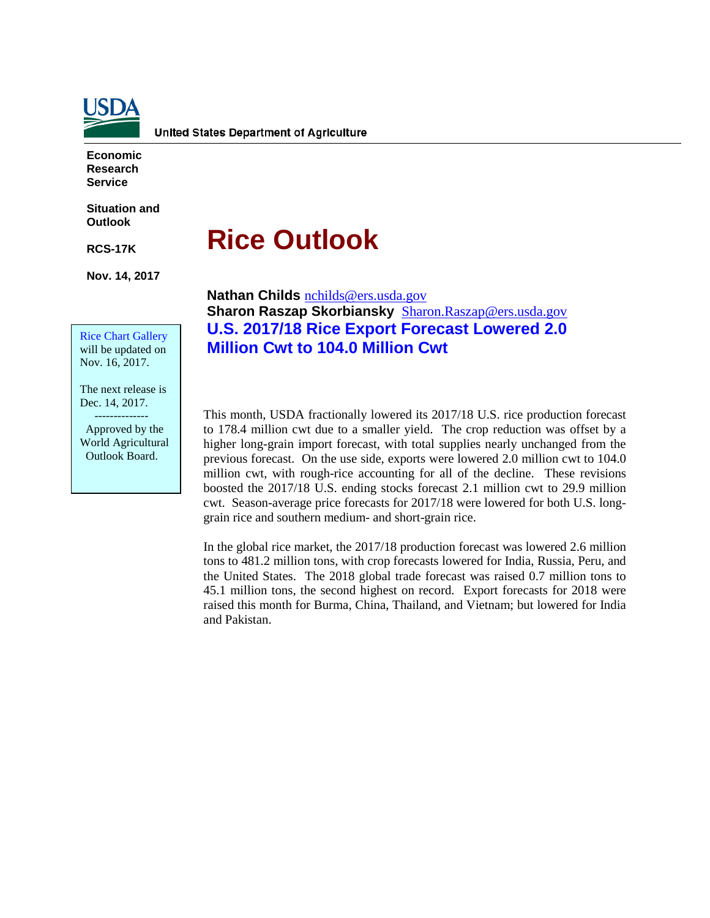

**Economic Research Service**

**Situation and Outlook**

**RCS-17K** 

**Nov. 14, 2017**

# **Rice Outlook**

**Nathan Childs** [nchilds@ers.usda.gov](mailto:nchilds@ers.usda.gov) **Sharon Raszap Skorbiansky** [Sharon.Raszap@ers.usda.gov](mailto:Sharon.Raszap@ers.usda.gov) **U.S. 2017/18 Rice Export Forecast Lowered 2.0 Million Cwt to 104.0 Million Cwt** 

will be updated on Nov. 16, 2017.

Rice Chart Gallery

The next release is Dec. 14, 2017.

 -------------- Approved by the World Agricultural Outlook Board.

This month, USDA fractionally lowered its 2017/18 U.S. rice production forecast to 178.4 million cwt due to a smaller yield. The crop reduction was offset by a higher long-grain import forecast, with total supplies nearly unchanged from the previous forecast. On the use side, exports were lowered 2.0 million cwt to 104.0 million cwt, with rough-rice accounting for all of the decline. These revisions boosted the 2017/18 U.S. ending stocks forecast 2.1 million cwt to 29.9 million cwt. Season-average price forecasts for 2017/18 were lowered for both U.S. longgrain rice and southern medium- and short-grain rice.

In the global rice market, the 2017/18 production forecast was lowered 2.6 million tons to 481.2 million tons, with crop forecasts lowered for India, Russia, Peru, and the United States. The 2018 global trade forecast was raised 0.7 million tons to 45.1 million tons, the second highest on record. Export forecasts for 2018 were raised this month for Burma, China, Thailand, and Vietnam; but lowered for India and Pakistan.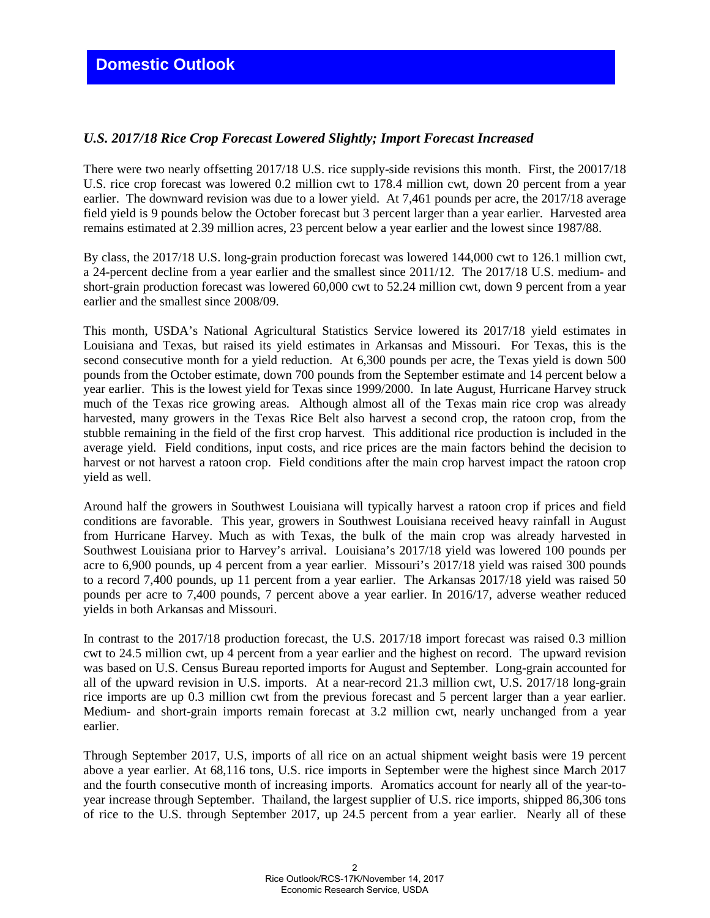# *U.S. 2017/18 Rice Crop Forecast Lowered Slightly; Import Forecast Increased*

There were two nearly offsetting 2017/18 U.S. rice supply-side revisions this month. First, the 20017/18 U.S. rice crop forecast was lowered 0.2 million cwt to 178.4 million cwt, down 20 percent from a year earlier. The downward revision was due to a lower yield. At 7,461 pounds per acre, the 2017/18 average field yield is 9 pounds below the October forecast but 3 percent larger than a year earlier. Harvested area remains estimated at 2.39 million acres, 23 percent below a year earlier and the lowest since 1987/88.

By class, the 2017/18 U.S. long-grain production forecast was lowered 144,000 cwt to 126.1 million cwt, a 24-percent decline from a year earlier and the smallest since 2011/12. The 2017/18 U.S. medium- and short-grain production forecast was lowered 60,000 cwt to 52.24 million cwt, down 9 percent from a year earlier and the smallest since 2008/09.

This month, USDA's National Agricultural Statistics Service lowered its 2017/18 yield estimates in Louisiana and Texas, but raised its yield estimates in Arkansas and Missouri. For Texas, this is the second consecutive month for a yield reduction. At 6,300 pounds per acre, the Texas yield is down 500 pounds from the October estimate, down 700 pounds from the September estimate and 14 percent below a year earlier. This is the lowest yield for Texas since 1999/2000. In late August, Hurricane Harvey struck much of the Texas rice growing areas. Although almost all of the Texas main rice crop was already harvested, many growers in the Texas Rice Belt also harvest a second crop, the ratoon crop, from the stubble remaining in the field of the first crop harvest. This additional rice production is included in the average yield. Field conditions, input costs, and rice prices are the main factors behind the decision to harvest or not harvest a ratoon crop. Field conditions after the main crop harvest impact the ratoon crop yield as well.

Around half the growers in Southwest Louisiana will typically harvest a ratoon crop if prices and field conditions are favorable. This year, growers in Southwest Louisiana received heavy rainfall in August from Hurricane Harvey. Much as with Texas, the bulk of the main crop was already harvested in Southwest Louisiana prior to Harvey's arrival. Louisiana's 2017/18 yield was lowered 100 pounds per acre to 6,900 pounds, up 4 percent from a year earlier. Missouri's 2017/18 yield was raised 300 pounds to a record 7,400 pounds, up 11 percent from a year earlier. The Arkansas 2017/18 yield was raised 50 pounds per acre to 7,400 pounds, 7 percent above a year earlier. In 2016/17, adverse weather reduced yields in both Arkansas and Missouri.

In contrast to the 2017/18 production forecast, the U.S. 2017/18 import forecast was raised 0.3 million cwt to 24.5 million cwt, up 4 percent from a year earlier and the highest on record. The upward revision was based on U.S. Census Bureau reported imports for August and September. Long-grain accounted for all of the upward revision in U.S. imports. At a near-record 21.3 million cwt, U.S. 2017/18 long-grain rice imports are up 0.3 million cwt from the previous forecast and 5 percent larger than a year earlier. Medium- and short-grain imports remain forecast at 3.2 million cwt, nearly unchanged from a year earlier.

Through September 2017, U.S, imports of all rice on an actual shipment weight basis were 19 percent above a year earlier. At 68,116 tons, U.S. rice imports in September were the highest since March 2017 and the fourth consecutive month of increasing imports. Aromatics account for nearly all of the year-toyear increase through September. Thailand, the largest supplier of U.S. rice imports, shipped 86,306 tons of rice to the U.S. through September 2017, up 24.5 percent from a year earlier. Nearly all of these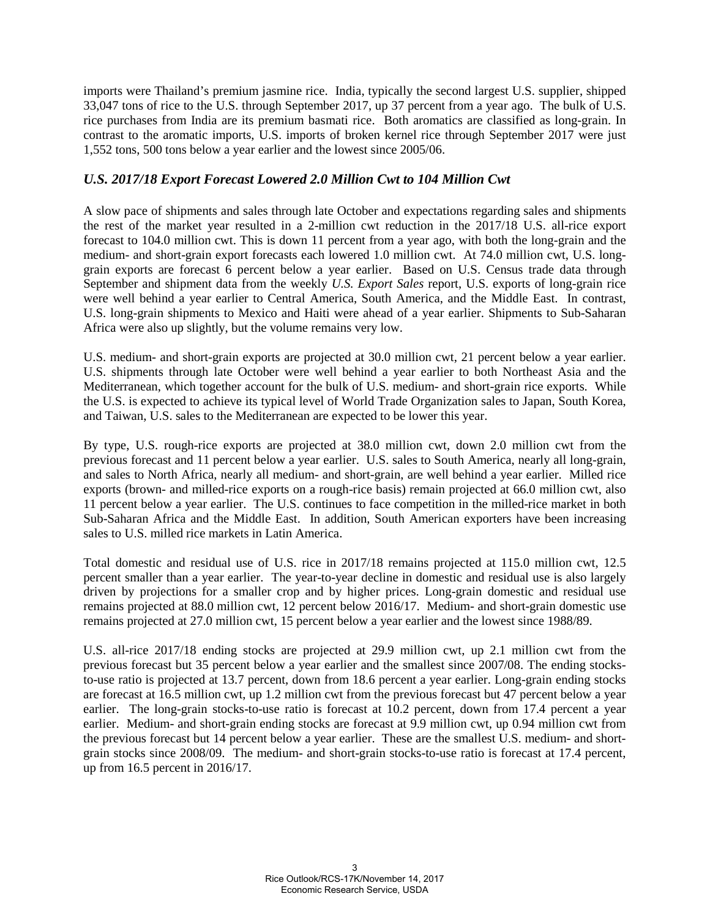imports were Thailand's premium jasmine rice. India, typically the second largest U.S. supplier, shipped 33,047 tons of rice to the U.S. through September 2017, up 37 percent from a year ago. The bulk of U.S. rice purchases from India are its premium basmati rice. Both aromatics are classified as long-grain. In contrast to the aromatic imports, U.S. imports of broken kernel rice through September 2017 were just 1,552 tons, 500 tons below a year earlier and the lowest since 2005/06.

# *U.S. 2017/18 Export Forecast Lowered 2.0 Million Cwt to 104 Million Cwt*

A slow pace of shipments and sales through late October and expectations regarding sales and shipments the rest of the market year resulted in a 2-million cwt reduction in the 2017/18 U.S. all-rice export forecast to 104.0 million cwt. This is down 11 percent from a year ago, with both the long-grain and the medium- and short-grain export forecasts each lowered 1.0 million cwt. At 74.0 million cwt, U.S. longgrain exports are forecast 6 percent below a year earlier. Based on U.S. Census trade data through September and shipment data from the weekly *U.S. Export Sales* report, U.S. exports of long-grain rice were well behind a year earlier to Central America, South America, and the Middle East. In contrast, U.S. long-grain shipments to Mexico and Haiti were ahead of a year earlier. Shipments to Sub-Saharan Africa were also up slightly, but the volume remains very low.

U.S. medium- and short-grain exports are projected at 30.0 million cwt, 21 percent below a year earlier. U.S. shipments through late October were well behind a year earlier to both Northeast Asia and the Mediterranean, which together account for the bulk of U.S. medium- and short-grain rice exports. While the U.S. is expected to achieve its typical level of World Trade Organization sales to Japan, South Korea, and Taiwan, U.S. sales to the Mediterranean are expected to be lower this year.

By type, U.S. rough-rice exports are projected at 38.0 million cwt, down 2.0 million cwt from the previous forecast and 11 percent below a year earlier. U.S. sales to South America, nearly all long-grain, and sales to North Africa, nearly all medium- and short-grain, are well behind a year earlier. Milled rice exports (brown- and milled-rice exports on a rough-rice basis) remain projected at 66.0 million cwt, also 11 percent below a year earlier. The U.S. continues to face competition in the milled-rice market in both Sub-Saharan Africa and the Middle East. In addition, South American exporters have been increasing sales to U.S. milled rice markets in Latin America.

Total domestic and residual use of U.S. rice in 2017/18 remains projected at 115.0 million cwt, 12.5 percent smaller than a year earlier. The year-to-year decline in domestic and residual use is also largely driven by projections for a smaller crop and by higher prices. Long-grain domestic and residual use remains projected at 88.0 million cwt, 12 percent below 2016/17. Medium- and short-grain domestic use remains projected at 27.0 million cwt, 15 percent below a year earlier and the lowest since 1988/89.

U.S. all-rice 2017/18 ending stocks are projected at 29.9 million cwt, up 2.1 million cwt from the previous forecast but 35 percent below a year earlier and the smallest since 2007/08. The ending stocksto-use ratio is projected at 13.7 percent, down from 18.6 percent a year earlier. Long-grain ending stocks are forecast at 16.5 million cwt, up 1.2 million cwt from the previous forecast but 47 percent below a year earlier. The long-grain stocks-to-use ratio is forecast at 10.2 percent, down from 17.4 percent a year earlier. Medium- and short-grain ending stocks are forecast at 9.9 million cwt, up 0.94 million cwt from the previous forecast but 14 percent below a year earlier. These are the smallest U.S. medium- and shortgrain stocks since 2008/09. The medium- and short-grain stocks-to-use ratio is forecast at 17.4 percent, up from 16.5 percent in 2016/17.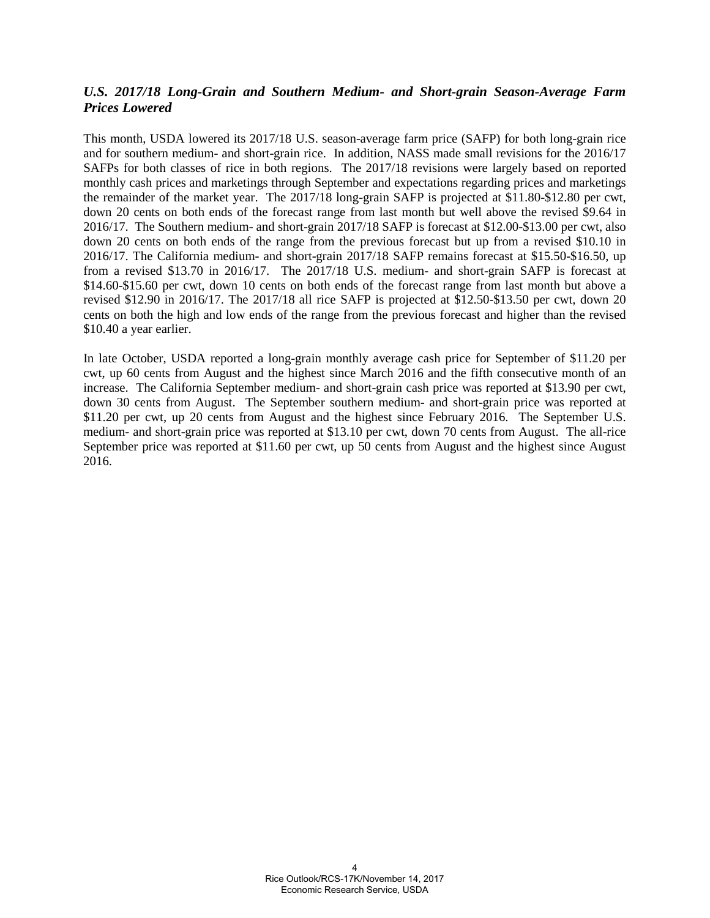# *U.S. 2017/18 Long-Grain and Southern Medium- and Short-grain Season-Average Farm Prices Lowered*

This month, USDA lowered its 2017/18 U.S. season-average farm price (SAFP) for both long-grain rice and for southern medium- and short-grain rice. In addition, NASS made small revisions for the 2016/17 SAFPs for both classes of rice in both regions. The 2017/18 revisions were largely based on reported monthly cash prices and marketings through September and expectations regarding prices and marketings the remainder of the market year. The 2017/18 long-grain SAFP is projected at \$11.80-\$12.80 per cwt, down 20 cents on both ends of the forecast range from last month but well above the revised \$9.64 in 2016/17. The Southern medium- and short-grain 2017/18 SAFP is forecast at \$12.00-\$13.00 per cwt, also down 20 cents on both ends of the range from the previous forecast but up from a revised \$10.10 in 2016/17. The California medium- and short-grain 2017/18 SAFP remains forecast at \$15.50-\$16.50, up from a revised \$13.70 in 2016/17. The 2017/18 U.S. medium- and short-grain SAFP is forecast at \$14.60-\$15.60 per cwt, down 10 cents on both ends of the forecast range from last month but above a revised \$12.90 in 2016/17. The 2017/18 all rice SAFP is projected at \$12.50-\$13.50 per cwt, down 20 cents on both the high and low ends of the range from the previous forecast and higher than the revised \$10.40 a year earlier.

In late October, USDA reported a long-grain monthly average cash price for September of \$11.20 per cwt, up 60 cents from August and the highest since March 2016 and the fifth consecutive month of an increase. The California September medium- and short-grain cash price was reported at \$13.90 per cwt, down 30 cents from August. The September southern medium- and short-grain price was reported at \$11.20 per cwt, up 20 cents from August and the highest since February 2016. The September U.S. medium- and short-grain price was reported at \$13.10 per cwt, down 70 cents from August. The all-rice September price was reported at \$11.60 per cwt, up 50 cents from August and the highest since August 2016.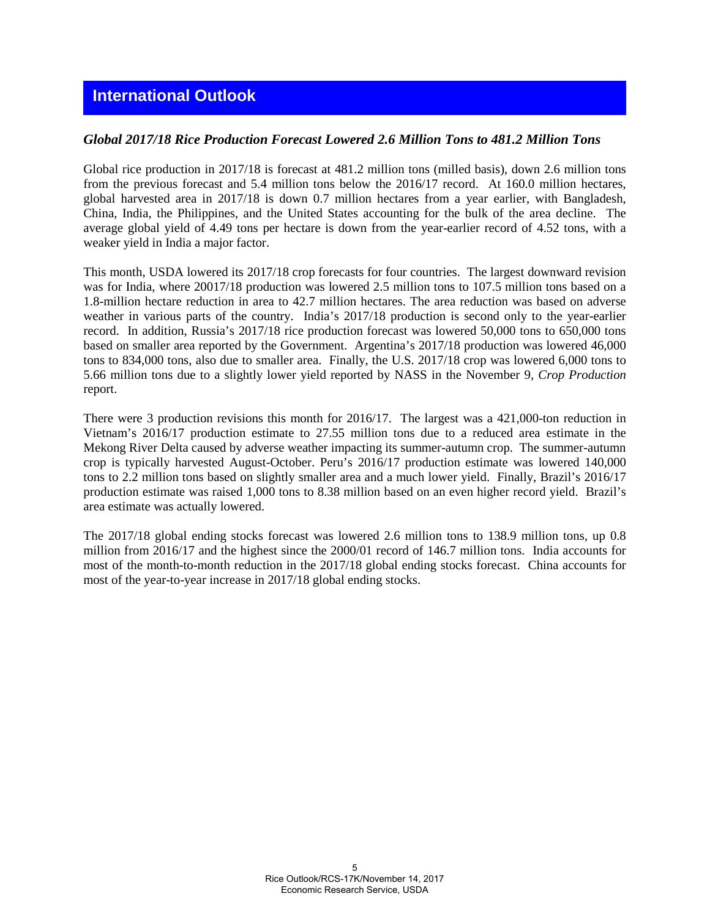# *Global 2017/18 Rice Production Forecast Lowered 2.6 Million Tons to 481.2 Million Tons*

Global rice production in 2017/18 is forecast at 481.2 million tons (milled basis), down 2.6 million tons from the previous forecast and 5.4 million tons below the 2016/17 record. At 160.0 million hectares, global harvested area in 2017/18 is down 0.7 million hectares from a year earlier, with Bangladesh, China, India, the Philippines, and the United States accounting for the bulk of the area decline. The average global yield of 4.49 tons per hectare is down from the year-earlier record of 4.52 tons, with a weaker yield in India a major factor.

This month, USDA lowered its 2017/18 crop forecasts for four countries. The largest downward revision was for India, where 20017/18 production was lowered 2.5 million tons to 107.5 million tons based on a 1.8-million hectare reduction in area to 42.7 million hectares. The area reduction was based on adverse weather in various parts of the country. India's 2017/18 production is second only to the year-earlier record. In addition, Russia's 2017/18 rice production forecast was lowered 50,000 tons to 650,000 tons based on smaller area reported by the Government. Argentina's 2017/18 production was lowered 46,000 tons to 834,000 tons, also due to smaller area. Finally, the U.S. 2017/18 crop was lowered 6,000 tons to 5.66 million tons due to a slightly lower yield reported by NASS in the November 9, *Crop Production* report.

There were 3 production revisions this month for 2016/17. The largest was a 421,000-ton reduction in Vietnam's 2016/17 production estimate to 27.55 million tons due to a reduced area estimate in the Mekong River Delta caused by adverse weather impacting its summer-autumn crop. The summer-autumn crop is typically harvested August-October. Peru's 2016/17 production estimate was lowered 140,000 tons to 2.2 million tons based on slightly smaller area and a much lower yield. Finally, Brazil's 2016/17 production estimate was raised 1,000 tons to 8.38 million based on an even higher record yield. Brazil's area estimate was actually lowered.

The 2017/18 global ending stocks forecast was lowered 2.6 million tons to 138.9 million tons, up 0.8 million from 2016/17 and the highest since the 2000/01 record of 146.7 million tons. India accounts for most of the month-to-month reduction in the 2017/18 global ending stocks forecast. China accounts for most of the year-to-year increase in 2017/18 global ending stocks.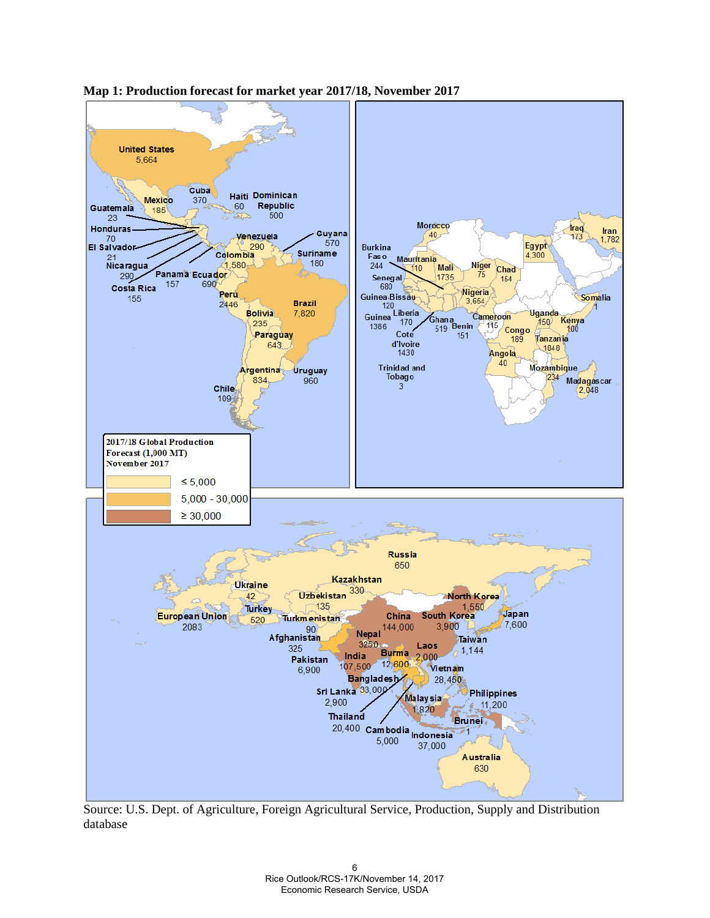

**Map 1: Production forecast for market year 2017/18, November 2017** 

Source: U.S. Dept. of Agriculture, Foreign Agricultural Service, Production, Supply and Distribution database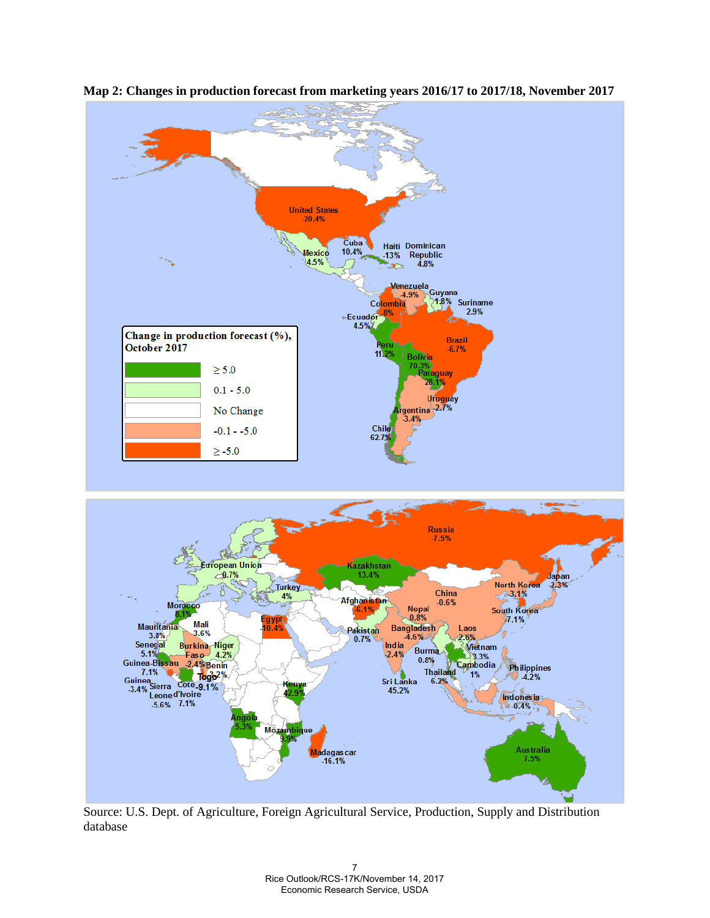

**Map 2: Changes in production forecast from marketing years 2016/17 to 2017/18, November 2017** 

Source: U.S. Dept. of Agriculture, Foreign Agricultural Service, Production, Supply and Distribution database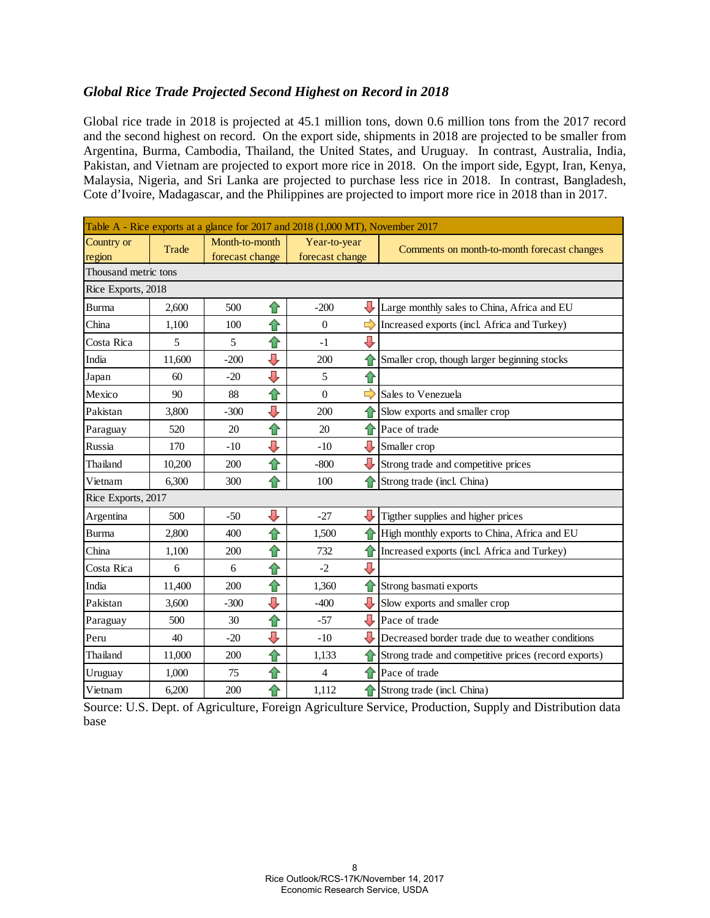# *Global Rice Trade Projected Second Highest on Record in 2018*

Global rice trade in 2018 is projected at 45.1 million tons, down 0.6 million tons from the 2017 record and the second highest on record. On the export side, shipments in 2018 are projected to be smaller from Argentina, Burma, Cambodia, Thailand, the United States, and Uruguay. In contrast, Australia, India, Pakistan, and Vietnam are projected to export more rice in 2018. On the import side, Egypt, Iran, Kenya, Malaysia, Nigeria, and Sri Lanka are projected to purchase less rice in 2018. In contrast, Bangladesh, Cote d'Ivoire, Madagascar, and the Philippines are projected to import more rice in 2018 than in 2017.

| Table A - Rice exports at a glance for 2017 and 2018 (1,000 MT), November 2017 |        |                 |    |                  |               |                                                      |  |  |  |  |  |
|--------------------------------------------------------------------------------|--------|-----------------|----|------------------|---------------|------------------------------------------------------|--|--|--|--|--|
| Country or                                                                     | Trade  | Month-to-month  |    | Year-to-year     |               | Comments on month-to-month forecast changes          |  |  |  |  |  |
| region                                                                         |        | forecast change |    | forecast change  |               |                                                      |  |  |  |  |  |
| Thousand metric tons                                                           |        |                 |    |                  |               |                                                      |  |  |  |  |  |
| Rice Exports, 2018                                                             |        |                 |    |                  |               |                                                      |  |  |  |  |  |
| <b>Burma</b>                                                                   | 2,600  | 500             | ⇧  | $-200$           |               | Large monthly sales to China, Africa and EU          |  |  |  |  |  |
| China                                                                          | 1,100  | 100             | ⇧  | $\boldsymbol{0}$ | $\Rightarrow$ | Increased exports (incl. Africa and Turkey)          |  |  |  |  |  |
| Costa Rica                                                                     | 5      | 5               | ⇧  | $-1$             | J             |                                                      |  |  |  |  |  |
| India                                                                          | 11,600 | $-200$          | ⇩  | 200              |               | Smaller crop, though larger beginning stocks         |  |  |  |  |  |
| Japan                                                                          | 60     | $-20$           | ⇩  | 5                | ⇧             |                                                      |  |  |  |  |  |
| Mexico                                                                         | 90     | 88              | ⇧  | $\Omega$         | ⇨             | Sales to Venezuela                                   |  |  |  |  |  |
| Pakistan                                                                       | 3,800  | $-300$          | ⇩  | 200              |               | Slow exports and smaller crop                        |  |  |  |  |  |
| Paraguay                                                                       | 520    | 20              | ⇧  | 20               | ⇑             | Pace of trade                                        |  |  |  |  |  |
| Russia                                                                         | 170    | $-10$           | IJ | $-10$            | Л,            | Smaller crop                                         |  |  |  |  |  |
| Thailand                                                                       | 10,200 | 200             | ⇧  | $-800$           |               | Strong trade and competitive prices                  |  |  |  |  |  |
| Vietnam                                                                        | 6.300  | 300             | ⇧  | 100              |               | Strong trade (incl. China)                           |  |  |  |  |  |
| Rice Exports, 2017                                                             |        |                 |    |                  |               |                                                      |  |  |  |  |  |
| Argentina                                                                      | 500    | $-50$           | ⇩  | $-27$            |               | Tigther supplies and higher prices                   |  |  |  |  |  |
| <b>Burma</b>                                                                   | 2,800  | 400             | ⇧  | 1,500            |               | High monthly exports to China, Africa and EU         |  |  |  |  |  |
| China                                                                          | 1,100  | 200             | ⇧  | 732              | ⇑             | Increased exports (incl. Africa and Turkey)          |  |  |  |  |  |
| Costa Rica                                                                     | 6      | 6               | ⇧  | $-2$             | J,            |                                                      |  |  |  |  |  |
| India                                                                          | 11,400 | 200             | ⇧  | 1,360            | ⇑             | Strong basmati exports                               |  |  |  |  |  |
| Pakistan                                                                       | 3,600  | $-300$          | ⇩  | $-400$           |               | Slow exports and smaller crop                        |  |  |  |  |  |
| Paraguay                                                                       | 500    | 30              | ⇑  | $-57$            | Į,            | Pace of trade                                        |  |  |  |  |  |
| Peru                                                                           | 40     | $-20$           | U  | $-10$            | л             | Decreased border trade due to weather conditions     |  |  |  |  |  |
| Thailand                                                                       | 11,000 | 200             | ⇧  | 1,133            |               | Strong trade and competitive prices (record exports) |  |  |  |  |  |
| Uruguay                                                                        | 1,000  | 75              | ⇧  | $\overline{4}$   | ⇑             | Pace of trade                                        |  |  |  |  |  |
| Vietnam                                                                        | 6.200  | 200             | ⇧  | 1,112            |               | Strong trade (incl. China)                           |  |  |  |  |  |

Source: U.S. Dept. of Agriculture, Foreign Agriculture Service, Production, Supply and Distribution data base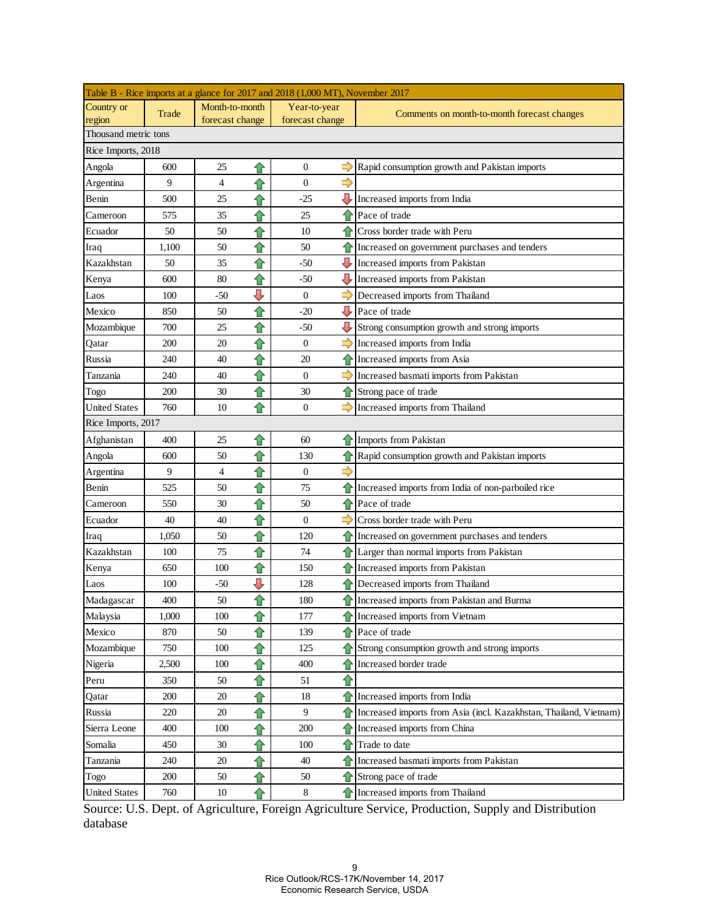| Table B - Rice imports at a glance for 2017 and 2018 (1,000 MT), November 2017 |       |                 |   |                  |               |                                                                   |  |  |  |
|--------------------------------------------------------------------------------|-------|-----------------|---|------------------|---------------|-------------------------------------------------------------------|--|--|--|
| Country or                                                                     | Trade | Month-to-month  |   | Year-to-year     |               | Comments on month-to-month forecast changes                       |  |  |  |
| region                                                                         |       | forecast change |   | forecast change  |               |                                                                   |  |  |  |
| Thousand metric tons                                                           |       |                 |   |                  |               |                                                                   |  |  |  |
| Rice Imports, 2018                                                             |       |                 |   |                  |               |                                                                   |  |  |  |
| Angola                                                                         | 600   | 25              | ⇧ | $\boldsymbol{0}$ | ⇨             | Rapid consumption growth and Pakistan imports                     |  |  |  |
| Argentina                                                                      | 9     | 4               | ⇧ | $\boldsymbol{0}$ | ⇨             |                                                                   |  |  |  |
| Benin                                                                          | 500   | 25              | ⇧ | $-25$            | J             | Increased imports from India                                      |  |  |  |
| Cameroon                                                                       | 575   | 35              | ⇧ | 25               | €             | Pace of trade                                                     |  |  |  |
| Ecuador                                                                        | 50    | 50              | ⇧ | 10               | €             | Cross border trade with Peru                                      |  |  |  |
| Iraq                                                                           | 1,100 | 50              | ⇑ | 50               | €             | Increased on government purchases and tenders                     |  |  |  |
| Kazakhstan                                                                     | 50    | 35              | ⇧ | -50              | ⇩             | Increased imports from Pakistan                                   |  |  |  |
| Kenya                                                                          | 600   | 80              | ⇧ | -50              | IJ            | Increased imports from Pakistan                                   |  |  |  |
| Laos                                                                           | 100   | -50             | ⇩ | $\boldsymbol{0}$ | 5             | Decreased imports from Thailand                                   |  |  |  |
| Mexico                                                                         | 850   | 50              | ⇧ | $-20$            | ⇩             | Pace of trade                                                     |  |  |  |
| Mozambique                                                                     | 700   | 25              | ⇧ | $-50$            | ⇩             | Strong consumption growth and strong imports                      |  |  |  |
| Qatar                                                                          | 200   | 20              | ⇧ | $\boldsymbol{0}$ | $\Rightarrow$ | Increased imports from India                                      |  |  |  |
| Russia                                                                         | 240   | 40              | ⇧ | 20               | ⇑             | Increased imports from Asia                                       |  |  |  |
| Tanzania                                                                       | 240   | 40              | ⇧ | $\mathbf{0}$     | ⇨             | Increased basmati imports from Pakistan                           |  |  |  |
| Togo                                                                           | 200   | 30              | ⇧ | 30               | ⇧             | Strong pace of trade                                              |  |  |  |
| <b>United States</b>                                                           | 760   | 10              | ⇧ | $\mathbf{0}$     |               | Increased imports from Thailand                                   |  |  |  |
| Rice Imports, 2017                                                             |       |                 |   |                  |               |                                                                   |  |  |  |
| Afghanistan                                                                    | 400   | 25              | ⇧ | 60               |               | Imports from Pakistan                                             |  |  |  |
| Angola                                                                         | 600   | 50              | ⇧ | 130              |               | Rapid consumption growth and Pakistan imports                     |  |  |  |
| Argentina                                                                      | 9     | 4               | ⇧ | $\mathbf{0}$     | $\Rightarrow$ |                                                                   |  |  |  |
| Benin                                                                          | 525   | 50              | ⇧ | 75               | €             | Increased imports from India of non-parboiled rice                |  |  |  |
| Cameroon                                                                       | 550   | 30              | ⇧ | 50               | €             | Pace of trade                                                     |  |  |  |
| Ecuador                                                                        | 40    | 40              | ⇧ | $\mathbf{0}$     | $\Rightarrow$ | Cross border trade with Peru                                      |  |  |  |
| Iraq                                                                           | 1,050 | 50              | ⇧ | 120              | ⇧             | Increased on government purchases and tenders                     |  |  |  |
| Kazakhstan                                                                     | 100   | 75              | ⇧ | 74               | ⇧             | Larger than normal imports from Pakistan                          |  |  |  |
| Kenya                                                                          | 650   | 100             | ⇧ | 150              | ⇑             | Increased imports from Pakistan                                   |  |  |  |
| Laos                                                                           | 100   | $-50$           | ⇩ | 128              | ⇧             | Decreased imports from Thailand                                   |  |  |  |
| Madagascar                                                                     | 400   | 50              | ⇧ | 180              |               | Increased imports from Pakistan and Burma                         |  |  |  |
| Malaysia                                                                       | 1,000 | 100             | ⇑ | 177              | ⇧             | Increased imports from Vietnam                                    |  |  |  |
| Mexico                                                                         | 870   | 50              | ⇧ | 139              |               | Pace of trade                                                     |  |  |  |
| Mozambique                                                                     | 750   | 100             | ⇧ | 125              | ⇧             | Strong consumption growth and strong imports                      |  |  |  |
| Nigeria                                                                        | 2,500 | 100             | ⇧ | 400              | ⇧             | Increased border trade                                            |  |  |  |
| Peru                                                                           | 350   | 50              | ⇧ | 51               | ⇧             |                                                                   |  |  |  |
| Qatar                                                                          | 200   | 20              | ⇧ | 18               | €             | Increased imports from India                                      |  |  |  |
| Russia                                                                         | 220   | 20              | ⇧ | 9                | €             | Increased imports from Asia (incl. Kazakhstan, Thailand, Vietnam) |  |  |  |
| Sierra Leone                                                                   | 400   | 100             |   | 200              | €             | Increased imports from China                                      |  |  |  |
|                                                                                |       |                 | ⇧ |                  |               |                                                                   |  |  |  |
| Somalia                                                                        | 450   | 30              | ⇑ | 100              | ⇧             | Trade to date                                                     |  |  |  |
| Tanzania                                                                       | 240   | 20              | ⇧ | 40               | ⇧             | Increased basmati imports from Pakistan                           |  |  |  |
| Togo                                                                           | 200   | 50              | ⇧ | 50               | €             | Strong pace of trade                                              |  |  |  |
| <b>United States</b>                                                           | 760   | 10              | ⇧ | $\,8\,$          |               | Increased imports from Thailand                                   |  |  |  |

Source: U.S. Dept. of Agriculture, Foreign Agriculture Service, Production, Supply and Distribution database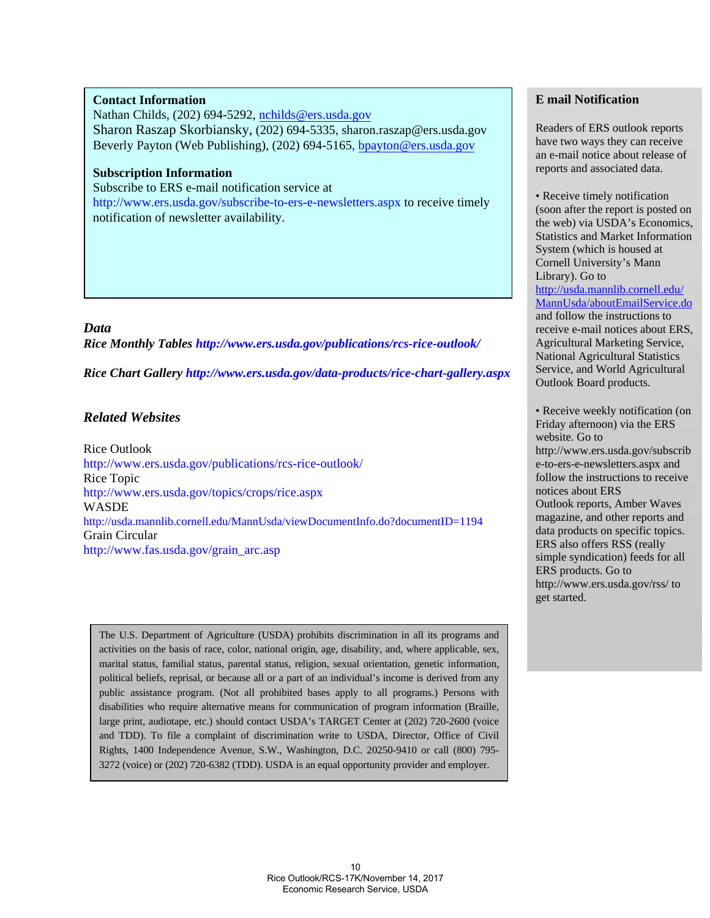#### **Contact Information**

Nathan Childs, (202) 694-5292, nchilds@ers.usda.gov Sharon Raszap Skorbiansky, (202) 694-5335, sharon.raszap@ers.usda.gov Beverly Payton (Web Publishing), (202) 694-5165, bpayton@ers.usda.gov

## **Subscription Information**

Subscribe to ERS e-mail notification service at http://www.ers.usda.gov/subscribe-to-ers-e-newsletters.aspx to receive timely notification of newsletter availability.

#### *Data*

*Rice Monthly Tables http://www.ers.usda.gov/publications/rcs-rice-outlook/*

*Rice Chart Gallery http://www.ers.usda.gov/data-products/rice-chart-gallery.aspx*

# *Related Websites*

Rice Outlook http://www.ers.usda.gov/publications/rcs-rice-outlook/ Rice Topic http://www.ers.usda.gov/topics/crops/rice.aspx WASDE http://usda.mannlib.cornell.edu/MannUsda/viewDocumentInfo.do?documentID=1194 Grain Circular http://www.fas.usda.gov/grain\_arc.asp

The U.S. Department of Agriculture (USDA) prohibits discrimination in all its programs and activities on the basis of race, color, national origin, age, disability, and, where applicable, sex, marital status, familial status, parental status, religion, sexual orientation, genetic information, political beliefs, reprisal, or because all or a part of an individual's income is derived from any public assistance program. (Not all prohibited bases apply to all programs.) Persons with disabilities who require alternative means for communication of program information (Braille, large print, audiotape, etc.) should contact USDA's TARGET Center at (202) 720-2600 (voice and TDD). To file a complaint of discrimination write to USDA, Director, Office of Civil Rights, 1400 Independence Avenue, S.W., Washington, D.C. 20250-9410 or call (800) 795- 3272 (voice) or (202) 720-6382 (TDD). USDA is an equal opportunity provider and employer.

## **E mail Notification**

Readers of ERS outlook reports have two ways they can receive an e-mail notice about release of reports and associated data.

• Receive timely notification (soon after the report is posted on the web) via USDA's Economics, Statistics and Market Information System (which is housed at Cornell University's Mann Library). Go to http://usda.mannlib.cornell.edu/ MannUsda/aboutEmailService.do and follow the instructions to receive e-mail notices about ERS, Agricultural Marketing Service, National Agricultural Statistics Service, and World Agricultural Outlook Board products.

• Receive weekly notification (on Friday afternoon) via the ERS website. Go to http://www.ers.usda.gov/subscrib e-to-ers-e-newsletters.aspx and follow the instructions to receive notices about ERS Outlook reports, Amber Waves magazine, and other reports and data products on specific topics. ERS also offers RSS (really simple syndication) feeds for all ERS products. Go to http://www.ers.usda.gov/rss/ to get started.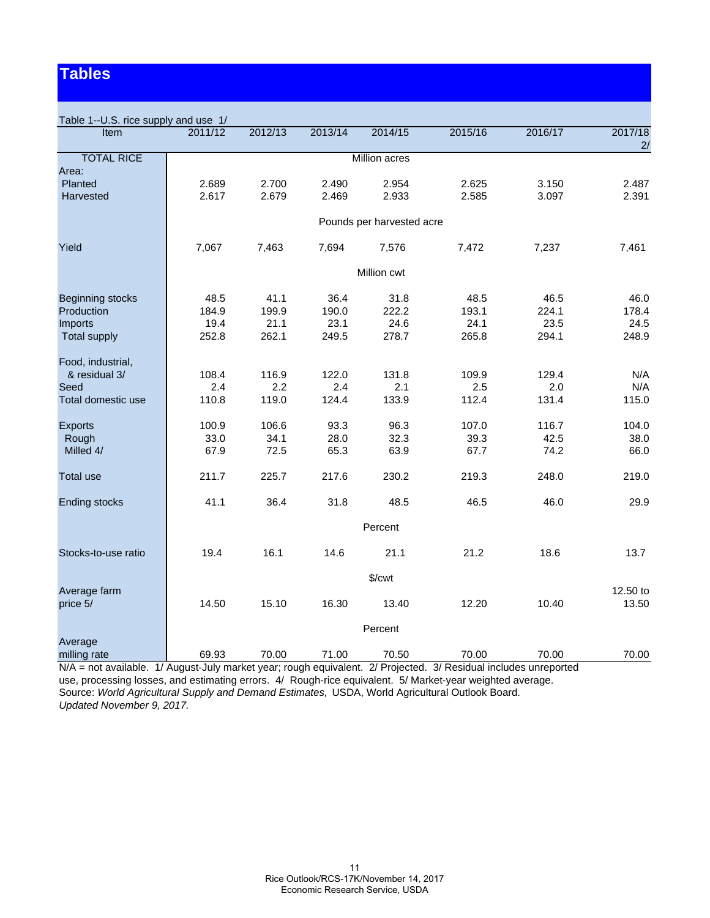# **Tables**

| Table 1--U.S. rice supply and use 1/ |         |             |         |                           |         |         |          |  |  |  |  |  |
|--------------------------------------|---------|-------------|---------|---------------------------|---------|---------|----------|--|--|--|--|--|
| <b>Item</b>                          | 2011/12 | 2012/13     | 2013/14 | 2014/15                   | 2015/16 | 2016/17 | 2017/18  |  |  |  |  |  |
| <b>TOTAL RICE</b>                    |         |             |         |                           |         |         | 2/       |  |  |  |  |  |
| Area:                                |         |             |         | <b>Million acres</b>      |         |         |          |  |  |  |  |  |
| Planted                              | 2.689   | 2.700       | 2.490   | 2.954                     | 2.625   | 3.150   | 2.487    |  |  |  |  |  |
| Harvested                            | 2.617   | 2.679       | 2.469   | 2.933                     | 2.585   | 3.097   | 2.391    |  |  |  |  |  |
|                                      |         |             |         |                           |         |         |          |  |  |  |  |  |
|                                      |         |             |         | Pounds per harvested acre |         |         |          |  |  |  |  |  |
| Yield                                | 7,067   | 7,463       | 7,694   | 7,576                     | 7,472   | 7,237   | 7,461    |  |  |  |  |  |
|                                      |         | Million cwt |         |                           |         |         |          |  |  |  |  |  |
| <b>Beginning stocks</b>              | 48.5    | 41.1        | 36.4    | 31.8                      | 48.5    | 46.5    | 46.0     |  |  |  |  |  |
| Production                           | 184.9   | 199.9       | 190.0   | 222.2                     | 193.1   | 224.1   | 178.4    |  |  |  |  |  |
| Imports                              | 19.4    | 21.1        | 23.1    | 24.6                      | 24.1    | 23.5    | 24.5     |  |  |  |  |  |
| <b>Total supply</b>                  | 252.8   | 262.1       | 249.5   | 278.7                     | 265.8   | 294.1   | 248.9    |  |  |  |  |  |
|                                      |         |             |         |                           |         |         |          |  |  |  |  |  |
| Food, industrial,                    |         |             |         |                           |         |         |          |  |  |  |  |  |
| & residual 3/                        | 108.4   | 116.9       | 122.0   | 131.8                     | 109.9   | 129.4   | N/A      |  |  |  |  |  |
| Seed                                 | 2.4     | 2.2         | 2.4     | 2.1                       | 2.5     | 2.0     | N/A      |  |  |  |  |  |
| Total domestic use                   | 110.8   | 119.0       | 124.4   | 133.9                     | 112.4   | 131.4   | 115.0    |  |  |  |  |  |
| Exports                              | 100.9   | 106.6       | 93.3    | 96.3                      | 107.0   | 116.7   | 104.0    |  |  |  |  |  |
| Rough                                | 33.0    | 34.1        | 28.0    | 32.3                      | 39.3    | 42.5    | 38.0     |  |  |  |  |  |
| Milled 4/                            | 67.9    | 72.5        | 65.3    | 63.9                      | 67.7    | 74.2    | 66.0     |  |  |  |  |  |
|                                      |         |             |         |                           |         |         |          |  |  |  |  |  |
| <b>Total use</b>                     | 211.7   | 225.7       | 217.6   | 230.2                     | 219.3   | 248.0   | 219.0    |  |  |  |  |  |
| Ending stocks                        | 41.1    | 36.4        | 31.8    | 48.5                      | 46.5    | 46.0    | 29.9     |  |  |  |  |  |
|                                      |         |             |         | Percent                   |         |         |          |  |  |  |  |  |
| Stocks-to-use ratio                  | 19.4    | 16.1        | 14.6    | 21.1                      | 21.2    | 18.6    | 13.7     |  |  |  |  |  |
|                                      |         |             |         | $%$ / $\mathsf{cwt}$      |         |         |          |  |  |  |  |  |
| Average farm                         |         |             |         |                           |         |         | 12.50 to |  |  |  |  |  |
| price 5/                             | 14.50   | 15.10       | 16.30   | 13.40                     | 12.20   | 10.40   | 13.50    |  |  |  |  |  |
|                                      |         |             |         |                           |         |         |          |  |  |  |  |  |
|                                      |         |             |         | Percent                   |         |         |          |  |  |  |  |  |
| Average                              |         |             |         |                           |         |         |          |  |  |  |  |  |
| milling rate                         | 69.93   | 70.00       | 71.00   | 70.50                     | 70.00   | 70.00   | 70.00    |  |  |  |  |  |

N/A = not available. 1/ August-July market year; rough equivalent. 2/ Projected. 3/ Residual includes unreported use, processing losses, and estimating errors. 4/ Rough-rice equivalent. 5/ Market-year weighted average. Source: *World Agricultural Supply and Demand Estimates,* USDA, World Agricultural Outlook Board. *Updated November 9, 2017.*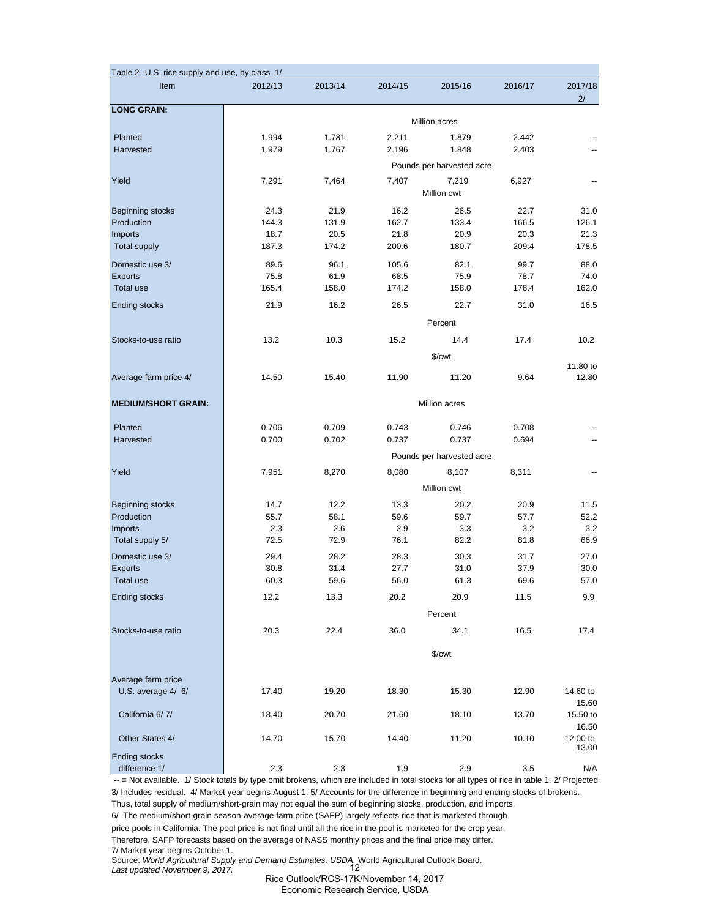| Table 2--U.S. rice supply and use, by class 1/ |               |         |         |                           |         |                   |  |  |  |
|------------------------------------------------|---------------|---------|---------|---------------------------|---------|-------------------|--|--|--|
| Item                                           | 2012/13       | 2013/14 | 2014/15 | 2015/16                   | 2016/17 | 2017/18<br>2/     |  |  |  |
| <b>LONG GRAIN:</b>                             |               |         |         | Million acres             |         |                   |  |  |  |
| Planted                                        | 1.994         | 1.781   | 2.211   | 1.879                     | 2.442   |                   |  |  |  |
| Harvested                                      | 1.979         | 1.767   | 2.196   | 1.848                     | 2.403   |                   |  |  |  |
|                                                |               |         |         | Pounds per harvested acre |         |                   |  |  |  |
| Yield                                          | 7,291         | 7,464   | 7,407   | 7,219                     | 6,927   |                   |  |  |  |
|                                                |               |         |         | Million cwt               |         |                   |  |  |  |
| <b>Beginning stocks</b>                        | 24.3          | 21.9    | 16.2    | 26.5                      | 22.7    | 31.0              |  |  |  |
| Production                                     | 144.3         | 131.9   | 162.7   | 133.4                     | 166.5   | 126.1             |  |  |  |
| Imports                                        | 18.7          | 20.5    | 21.8    | 20.9                      | 20.3    | 21.3              |  |  |  |
| <b>Total supply</b>                            | 187.3         | 174.2   | 200.6   | 180.7                     | 209.4   | 178.5             |  |  |  |
| Domestic use 3/                                | 89.6          | 96.1    | 105.6   | 82.1                      | 99.7    | 88.0              |  |  |  |
| Exports                                        | 75.8          | 61.9    | 68.5    | 75.9                      | 78.7    | 74.0              |  |  |  |
| <b>Total use</b>                               | 165.4         | 158.0   | 174.2   | 158.0                     | 178.4   | 162.0             |  |  |  |
| <b>Ending stocks</b>                           | 21.9          | 16.2    | 26.5    | 22.7                      | 31.0    | 16.5              |  |  |  |
|                                                |               |         |         | Percent                   |         |                   |  |  |  |
| Stocks-to-use ratio                            | 13.2          | 10.3    | 15.2    | 14.4                      | 17.4    | 10.2              |  |  |  |
|                                                |               |         |         | \$/cwt                    |         |                   |  |  |  |
|                                                |               |         |         |                           |         | 11.80 to          |  |  |  |
| Average farm price 4/                          | 14.50         | 15.40   | 11.90   | 11.20                     | 9.64    | 12.80             |  |  |  |
| <b>MEDIUM/SHORT GRAIN:</b>                     | Million acres |         |         |                           |         |                   |  |  |  |
| Planted                                        | 0.706         | 0.709   | 0.743   | 0.746                     | 0.708   |                   |  |  |  |
| Harvested                                      | 0.700         | 0.702   | 0.737   | 0.737                     | 0.694   |                   |  |  |  |
|                                                |               |         |         | Pounds per harvested acre |         |                   |  |  |  |
| Yield                                          | 7,951         | 8,270   | 8,080   | 8,107                     | 8,311   |                   |  |  |  |
|                                                |               |         |         | Million cwt               |         |                   |  |  |  |
| <b>Beginning stocks</b>                        | 14.7          | 12.2    | 13.3    | 20.2                      | 20.9    | 11.5              |  |  |  |
| Production                                     | 55.7          | 58.1    | 59.6    | 59.7                      | 57.7    | 52.2              |  |  |  |
| Imports                                        | 2.3           | 2.6     | 2.9     | 3.3                       | 3.2     | 3.2               |  |  |  |
| Total supply 5/                                | 72.5          | 72.9    | 76.1    | 82.2                      | 81.8    | 66.9              |  |  |  |
| Domestic use 3/                                | 29.4          | 28.2    | 28.3    | 30.3                      | 31.7    | 27.0              |  |  |  |
| <b>Exports</b>                                 | 30.8          | 31.4    | 27.7    | 31.0                      | 37.9    | 30.0              |  |  |  |
| Total use                                      | 60.3          | 59.6    | 56.0    | 61.3                      | 69.6    | 57.0              |  |  |  |
| <b>Ending stocks</b>                           | 12.2          | 13.3    | 20.2    | 20.9                      | 11.5    | 9.9               |  |  |  |
|                                                |               |         |         | Percent                   |         |                   |  |  |  |
| Stocks-to-use ratio                            | 20.3          | 22.4    | 36.0    | 34.1                      | 16.5    | 17.4              |  |  |  |
|                                                |               |         |         |                           |         |                   |  |  |  |
|                                                |               |         |         | \$/cwt                    |         |                   |  |  |  |
| Average farm price                             |               |         |         |                           |         |                   |  |  |  |
| U.S. average 4/ 6/                             | 17.40         | 19.20   | 18.30   | 15.30                     | 12.90   | 14.60 to          |  |  |  |
|                                                |               |         |         |                           |         | 15.60             |  |  |  |
| California 6/7/                                | 18.40         | 20.70   | 21.60   | 18.10                     | 13.70   | 15.50 to          |  |  |  |
|                                                |               |         |         |                           |         | 16.50             |  |  |  |
| Other States 4/                                | 14.70         | 15.70   | 14.40   | 11.20                     | 10.10   | 12.00 to<br>13.00 |  |  |  |
| <b>Ending stocks</b>                           |               |         |         |                           |         |                   |  |  |  |
| difference 1/                                  | 2.3           | 2.3     | 1.9     | 2.9                       | 3.5     | N/A               |  |  |  |

-- = Not available. 1/ Stock totals by type omit brokens, which are included in total stocks for all types of rice in table 1. 2/ Projected. 3/ Includes residual. 4/ Market year begins August 1. 5/ Accounts for the difference in beginning and ending stocks of brokens.

Thus, total supply of medium/short-grain may not equal the sum of beginning stocks, production, and imports.

6/ The medium/short-grain season-average farm price (SAFP) largely reflects rice that is marketed through

price pools in California. The pool price is not final until all the rice in the pool is marketed for the crop year. Therefore, SAFP forecasts based on the average of NASS monthly prices and the final price may differ. 7/ Market year begins October 1.

Source: *World Agricultural Supply and Demand Estimates, USDA,* World Agricultural Outlook Board.

*Last updated November 9, 2017.* 12

Rice Outlook/RCS-17K/November 14, 2017 Economic Research Service, USDA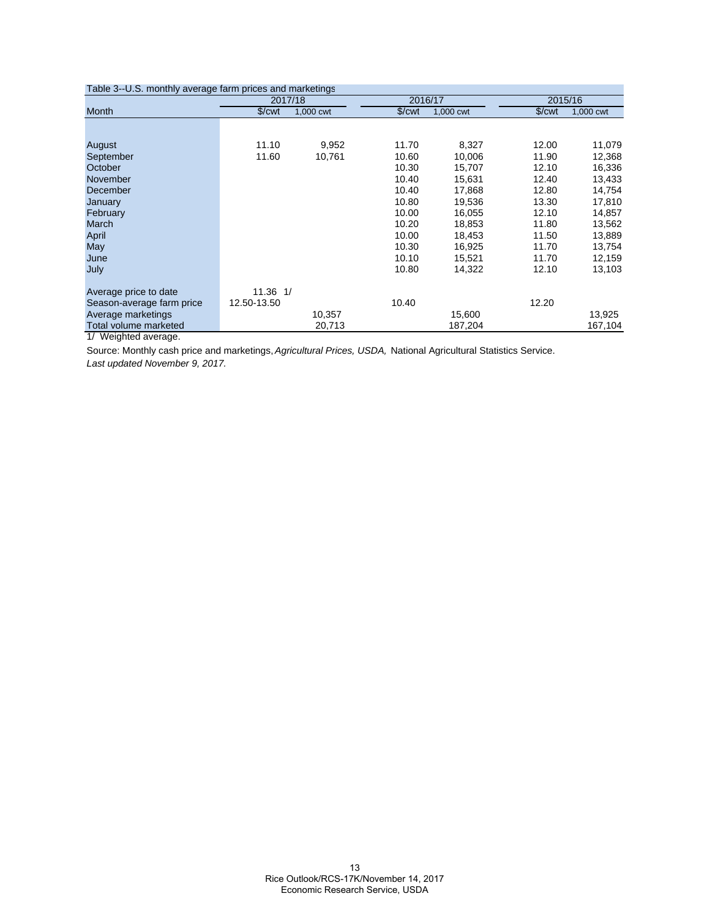| Table 3--U.S. monthly average farm prices and marketings |                    |           |                      |           |                    |           |
|----------------------------------------------------------|--------------------|-----------|----------------------|-----------|--------------------|-----------|
|                                                          | 2017/18            |           | 2016/17              |           |                    | 2015/16   |
| Month                                                    | \$/ <sub>cut</sub> | 1,000 cwt | $\sqrt{\frac{2}{1}}$ | 1,000 cwt | \$/ <sub>cut</sub> | 1,000 cwt |
|                                                          |                    |           |                      |           |                    |           |
| August                                                   | 11.10              | 9,952     | 11.70                | 8,327     | 12.00              | 11,079    |
| September                                                | 11.60              | 10,761    | 10.60                | 10,006    | 11.90              | 12,368    |
| October                                                  |                    |           | 10.30                | 15,707    | 12.10              | 16,336    |
| November                                                 |                    |           | 10.40                | 15,631    | 12.40              | 13,433    |
| December                                                 |                    |           | 10.40                | 17,868    | 12.80              | 14,754    |
| January                                                  |                    |           | 10.80                | 19,536    | 13.30              | 17,810    |
| February                                                 |                    |           | 10.00                | 16,055    | 12.10              | 14,857    |
| March                                                    |                    |           | 10.20                | 18,853    | 11.80              | 13,562    |
| April                                                    |                    |           | 10.00                | 18,453    | 11.50              | 13,889    |
| May                                                      |                    |           | 10.30                | 16,925    | 11.70              | 13,754    |
| June                                                     |                    |           | 10.10                | 15,521    | 11.70              | 12,159    |
| July                                                     |                    |           | 10.80                | 14,322    | 12.10              | 13,103    |
| Average price to date                                    | $11.36$ $1/$       |           |                      |           |                    |           |
| Season-average farm price                                | 12.50-13.50        |           | 10.40                |           | 12.20              |           |
| Average marketings                                       |                    | 10,357    |                      | 15,600    |                    | 13,925    |
| Total volume marketed                                    |                    | 20,713    |                      | 187,204   |                    | 167,104   |
| 1/ Weighted average.                                     |                    |           |                      |           |                    |           |

Source: Monthly cash price and marketings, *Agricultural Prices, USDA,* National Agricultural Statistics Service. *Last updated November 9, 2017.*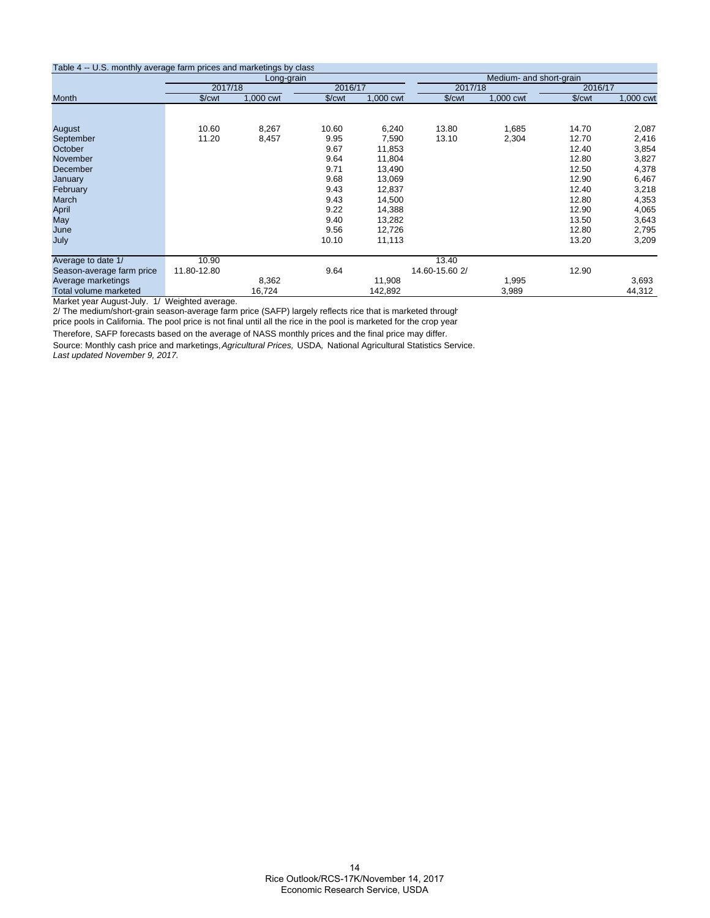#### Table 4 -- U.S. monthly average farm prices and marketings by class

| Table 4 ** 0.0. INDITION average family prices and marketings by class |                    | Long-grain |                    |           |                    | Medium- and short-grain |                    |           |
|------------------------------------------------------------------------|--------------------|------------|--------------------|-----------|--------------------|-------------------------|--------------------|-----------|
|                                                                        | 2017/18            |            | 2016/17            |           | 2017/18            |                         | 2016/17            |           |
| Month                                                                  | \$/ <sub>cut</sub> | 1,000 cwt  | \$/ <sub>cut</sub> | 1,000 cwt | \$/ <sub>cut</sub> | 1,000 cwt               | \$/ <sub>cut</sub> | 1,000 cwt |
|                                                                        |                    |            |                    |           |                    |                         |                    |           |
| August                                                                 | 10.60              | 8,267      | 10.60              | 6,240     | 13.80              | 1,685                   | 14.70              | 2,087     |
| September                                                              | 11.20              | 8,457      | 9.95               | 7,590     | 13.10              | 2,304                   | 12.70              | 2,416     |
| October                                                                |                    |            | 9.67               | 11,853    |                    |                         | 12.40              | 3,854     |
| November                                                               |                    |            | 9.64               | 11,804    |                    |                         | 12.80              | 3,827     |
| December                                                               |                    |            | 9.71               | 13,490    |                    |                         | 12.50              | 4,378     |
| January                                                                |                    |            | 9.68               | 13,069    |                    |                         | 12.90              | 6,467     |
| February                                                               |                    |            | 9.43               | 12,837    |                    |                         | 12.40              | 3,218     |
| March                                                                  |                    |            | 9.43               | 14,500    |                    |                         | 12.80              | 4,353     |
| April                                                                  |                    |            | 9.22               | 14,388    |                    |                         | 12.90              | 4,065     |
| May                                                                    |                    |            | 9.40               | 13,282    |                    |                         | 13.50              | 3,643     |
| June                                                                   |                    |            | 9.56               | 12,726    |                    |                         | 12.80              | 2,795     |
| July                                                                   |                    |            | 10.10              | 11,113    |                    |                         | 13.20              | 3,209     |
| Average to date 1/                                                     | 10.90              |            |                    |           | 13.40              |                         |                    |           |
| Season-average farm price                                              | 11.80-12.80        |            | 9.64               |           | 14.60-15.60 2/     |                         | 12.90              |           |
| Average marketings                                                     |                    | 8,362      |                    | 11,908    |                    | 1,995                   |                    | 3,693     |
| Total volume marketed                                                  |                    | 16,724     |                    | 142,892   |                    | 3,989                   |                    | 44,312    |

Market year August-July. 1/ Weighted average.

2/ The medium/short-grain season-average farm price (SAFP) largely reflects rice that is marketed through

price pools in California. The pool price is not final until all the rice in the pool is marketed for the crop year

Therefore, SAFP forecasts based on the average of NASS monthly prices and the final price may differ. Source: Monthly cash price and marketings, *Agricultural Prices,* USDA*,* National Agricultural Statistics Service. *Last updated November 9, 2017.*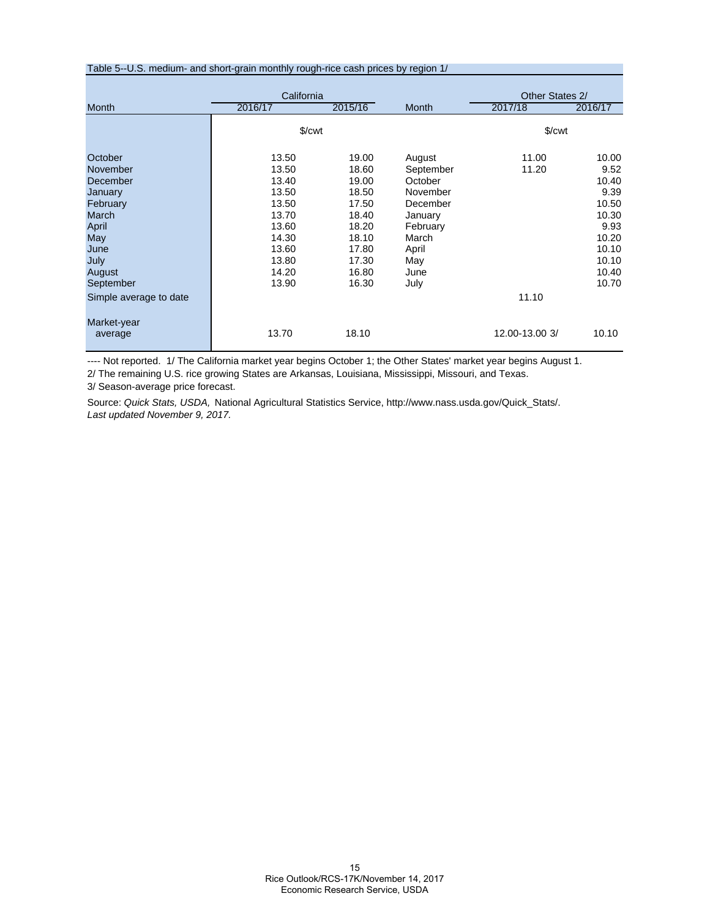#### Table 5--U.S. medium- and short-grain monthly rough-rice cash prices by region 1/

|                                                                                                                        | California                                                                                               |                                                                                                          |                                                                                                                        | Other States 2/      |                                                                                                       |  |  |  |
|------------------------------------------------------------------------------------------------------------------------|----------------------------------------------------------------------------------------------------------|----------------------------------------------------------------------------------------------------------|------------------------------------------------------------------------------------------------------------------------|----------------------|-------------------------------------------------------------------------------------------------------|--|--|--|
| <b>Month</b>                                                                                                           | 2016/17                                                                                                  | 2015/16                                                                                                  | <b>Month</b>                                                                                                           | 2017/18              | 2016/17                                                                                               |  |  |  |
|                                                                                                                        | $\sqrt{\frac{2}{1}}$                                                                                     |                                                                                                          |                                                                                                                        | $\sqrt{\frac{2}{1}}$ |                                                                                                       |  |  |  |
| October<br>November<br>December<br>January<br>February<br>March<br>April<br>May<br>June<br>July<br>August<br>September | 13.50<br>13.50<br>13.40<br>13.50<br>13.50<br>13.70<br>13.60<br>14.30<br>13.60<br>13.80<br>14.20<br>13.90 | 19.00<br>18.60<br>19.00<br>18.50<br>17.50<br>18.40<br>18.20<br>18.10<br>17.80<br>17.30<br>16.80<br>16.30 | August<br>September<br>October<br>November<br>December<br>January<br>February<br>March<br>April<br>May<br>June<br>July | 11.00<br>11.20       | 10.00<br>9.52<br>10.40<br>9.39<br>10.50<br>10.30<br>9.93<br>10.20<br>10.10<br>10.10<br>10.40<br>10.70 |  |  |  |
| Simple average to date                                                                                                 |                                                                                                          |                                                                                                          |                                                                                                                        | 11.10                |                                                                                                       |  |  |  |
| Market-year<br>average                                                                                                 | 13.70                                                                                                    | 18.10                                                                                                    |                                                                                                                        | 12.00-13.00 3/       | 10.10                                                                                                 |  |  |  |

---- Not reported. 1/ The California market year begins October 1; the Other States' market year begins August 1.

2/ The remaining U.S. rice growing States are Arkansas, Louisiana, Mississippi, Missouri, and Texas.

3/ Season-average price forecast.

Source: *Quick Stats, USDA,* National Agricultural Statistics Service, http://www.nass.usda.gov/Quick\_Stats/. *Last updated November 9, 2017.*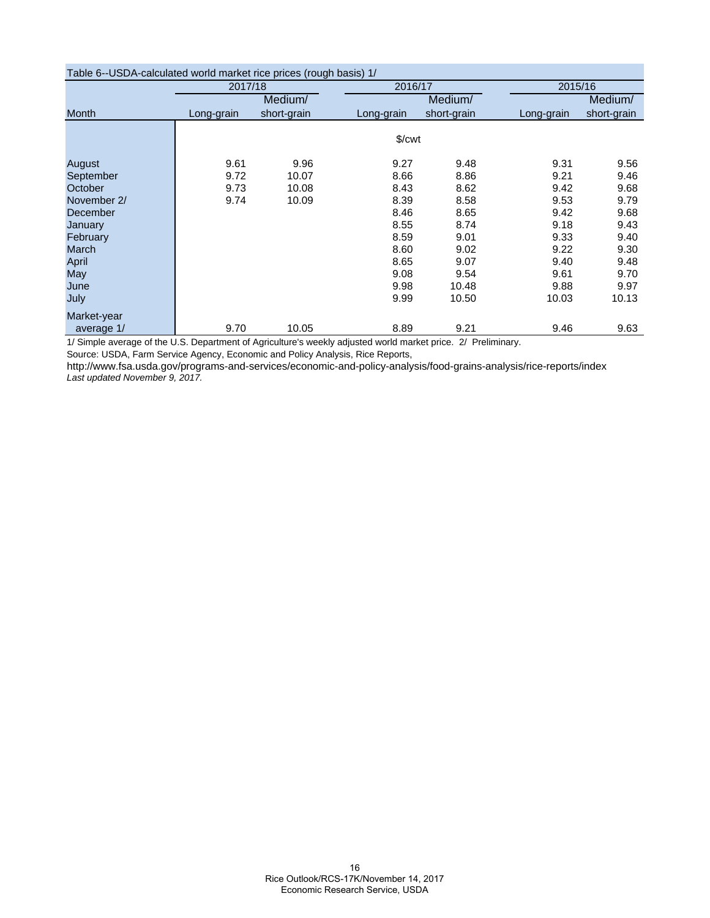| Table 6--USDA-calculated world market rice prices (rough basis) 1/ |                        |             |            |             |            |             |  |  |  |  |  |  |
|--------------------------------------------------------------------|------------------------|-------------|------------|-------------|------------|-------------|--|--|--|--|--|--|
|                                                                    | 2017/18                |             | 2016/17    |             |            | 2015/16     |  |  |  |  |  |  |
|                                                                    |                        | Medium/     |            | Medium/     |            | Medium/     |  |  |  |  |  |  |
| Month                                                              | Long-grain             | short-grain | Long-grain | short-grain | Long-grain | short-grain |  |  |  |  |  |  |
|                                                                    |                        |             |            |             |            |             |  |  |  |  |  |  |
|                                                                    | $\sqrt{\frac{2}{\pi}}$ |             |            |             |            |             |  |  |  |  |  |  |
| August                                                             | 9.61                   | 9.96        | 9.27       | 9.48        | 9.31       | 9.56        |  |  |  |  |  |  |
| September                                                          | 9.72                   | 10.07       | 8.66       | 8.86        | 9.21       | 9.46        |  |  |  |  |  |  |
| October                                                            | 9.73                   | 10.08       | 8.43       | 8.62        | 9.42       | 9.68        |  |  |  |  |  |  |
| November 2/                                                        | 9.74                   | 10.09       | 8.39       | 8.58        | 9.53       | 9.79        |  |  |  |  |  |  |
| December                                                           |                        |             | 8.46       | 8.65        | 9.42       | 9.68        |  |  |  |  |  |  |
| January                                                            |                        |             | 8.55       | 8.74        | 9.18       | 9.43        |  |  |  |  |  |  |
| February                                                           |                        |             | 8.59       | 9.01        | 9.33       | 9.40        |  |  |  |  |  |  |
| March                                                              |                        |             | 8.60       | 9.02        | 9.22       | 9.30        |  |  |  |  |  |  |
| April                                                              |                        |             | 8.65       | 9.07        | 9.40       | 9.48        |  |  |  |  |  |  |
| May                                                                |                        |             | 9.08       | 9.54        | 9.61       | 9.70        |  |  |  |  |  |  |
| June                                                               |                        |             | 9.98       | 10.48       | 9.88       | 9.97        |  |  |  |  |  |  |
| July                                                               |                        |             | 9.99       | 10.50       | 10.03      | 10.13       |  |  |  |  |  |  |
| Market-year                                                        |                        |             |            |             |            |             |  |  |  |  |  |  |
| average 1/                                                         | 9.70                   | 10.05       | 8.89       | 9.21        | 9.46       | 9.63        |  |  |  |  |  |  |

1/ Simple average of the U.S. Department of Agriculture's weekly adjusted world market price. 2/ Preliminary.

Source: USDA, Farm Service Agency, Economic and Policy Analysis, Rice Reports,

http://www.fsa.usda.gov/programs-and-services/economic-and-policy-analysis/food-grains-analysis/rice-reports/index *Last updated November 9, 2017.*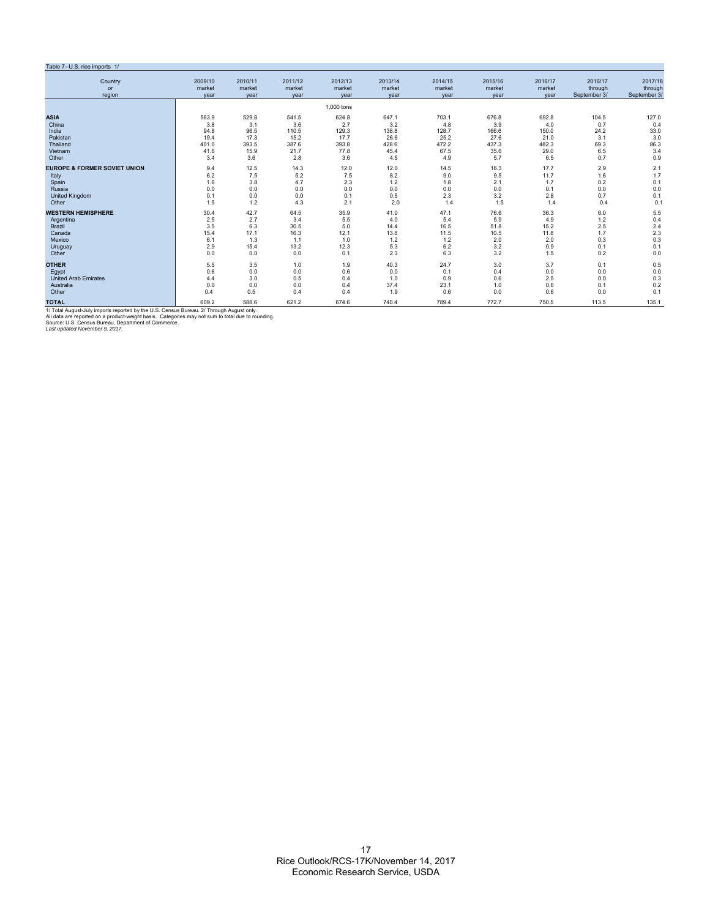#### Table 7--U.S. rice imports 1/

| $1$ avic $1 - 0.0$ . The imports $17$<br>Country                                                  | 2009/10 | 2010/11 | 2011/12 | 2012/13    | 2013/14 | 2014/15 | 2015/16 | 2016/17 | 2016/17      | 2017/18      |
|---------------------------------------------------------------------------------------------------|---------|---------|---------|------------|---------|---------|---------|---------|--------------|--------------|
| or                                                                                                | market  | market  | market  | market     | market  | market  | market  | market  | through      | through      |
| region                                                                                            | vear    | year    | year    | year       | year    | year    | year    | vear    | September 3/ | September 3/ |
|                                                                                                   |         |         |         | 1.000 tons |         |         |         |         |              |              |
| <b>ASIA</b>                                                                                       | 563.9   | 529.8   | 541.5   | 624.8      | 647.1   | 703.1   | 676.8   | 692.8   | 104.5        | 127.0        |
| China                                                                                             | 3.8     | 3.1     | 3.6     | 2.7        | 3.2     | 4.8     | 3.9     | 4.0     | 0.7          | 0.4          |
| India                                                                                             | 94.8    | 96.5    | 110.5   | 129.3      | 138.8   | 128.7   | 166.6   | 150.0   | 24.2         | 33.0         |
| Pakistan                                                                                          | 19.4    | 17.3    | 15.2    | 17.7       | 26.6    | 25.2    | 27.6    | 21.0    | 3.1          | 3.0          |
| Thailand                                                                                          | 401.0   | 393.5   | 387.6   | 393.8      | 428.6   | 472.2   | 437.3   | 482.3   | 69.3         | 86.3         |
| Vietnam                                                                                           | 41.6    | 15.9    | 21.7    | 77.8       | 45.4    | 67.5    | 35.6    | 29.0    | 6.5          | 3.4          |
| Other                                                                                             | 3.4     | 3.6     | 2.8     | 3.6        | 4.5     | 4.9     | 5.7     | 6.5     | 0.7          | 0.9          |
| <b>EUROPE &amp; FORMER SOVIET UNION</b>                                                           | 9.4     | 12.5    | 14.3    | 12.0       | 12.0    | 14.5    | 16.3    | 17.7    | 2.9          | 2.1          |
| Italy                                                                                             | 6.2     | 7.5     | 5.2     | 7.5        | 8.2     | 9.0     | 9.5     | 11.7    | 1.6          | 1.7          |
| Spain                                                                                             | 1.6     | 3.8     | 4.7     | 2.3        | 1.2     | 1.8     | 2.1     | 1.7     | 0.2          | 0.1          |
| Russia                                                                                            | 0.0     | 0.0     | 0.0     | 0.0        | 0.0     | 0.0     | 0.0     | 0.1     | 0.0          | 0.0          |
| <b>United Kingdom</b>                                                                             | 0.1     | 0.0     | 0.0     | 0.1        | 0.5     | 2.3     | 3.2     | 2.8     | 0.7          | 0.1          |
| Other                                                                                             | 1.5     | 1.2     | 4.3     | 2.1        | 2.0     | 1.4     | 1.5     | 1.4     | 0.4          | 0.1          |
| <b>WESTERN HEMISPHERE</b>                                                                         | 30.4    | 42.7    | 64.5    | 35.9       | 41.0    | 47.1    | 76.6    | 36.3    | 6.0          | 5.5          |
| Argentina                                                                                         | 2.5     | 2.7     | 3.4     | 5.5        | 4.0     | 5.4     | 5.9     | 4.9     | 1.2          | 0.4          |
| Brazil                                                                                            | 3.5     | 6.3     | 30.5    | 5.0        | 14.4    | 16.5    | 51.8    | 15.2    | 2.5          | 2.4          |
| Canada                                                                                            | 15.4    | 17.1    | 16.3    | 12.1       | 13.8    | 11.5    | 10.5    | 11.8    | 1.7          | 2.3          |
| Mexico                                                                                            | 6.1     | 1.3     | 1.1     | 1.0        | 1.2     | 1.2     | 2.0     | 2.0     | 0.3          | 0.3          |
| Uruguay                                                                                           | 2.9     | 15.4    | 13.2    | 12.3       | 5.3     | 6.2     | 3.2     | 0.9     | 0.1          | 0.1          |
| Other                                                                                             | 0.0     | 0.0     | 0.0     | 0.1        | 2.3     | 6.3     | 3.2     | 1.5     | 0.2          | 0.0          |
| <b>OTHER</b>                                                                                      | 5.5     | 3.5     | 1.0     | 1.9        | 40.3    | 24.7    | 3.0     | 3.7     | 0.1          | 0.5          |
| Egypt                                                                                             | 0.6     | 0.0     | 0.0     | 0.6        | 0.0     | 0.1     | 0.4     | 0.0     | 0.0          | 0.0          |
| <b>United Arab Emirates</b>                                                                       | 4.4     | 3.0     | 0.5     | 0.4        | 1.0     | 0.9     | 0.6     | 2.5     | 0.0          | 0.3          |
| Australia                                                                                         | 0.0     | 0.0     | 0.0     | 0.4        | 37.4    | 23.1    | 1.0     | 0.6     | 0.1          | 0.2          |
| Other                                                                                             | 0.4     | 0.5     | 0.4     | 0.4        | 1.9     | 0.6     | 0.0     | 0.6     | 0.0          | 0.1          |
| <b>TOTAL</b>                                                                                      | 609.2   | 588.6   | 621.2   | 674.6      | 740.4   | 789.4   | 772.7   | 750.5   | 113.5        | 135.1        |
| 1/ Total August-July imports reported by the U.S. Census Bureau. 2/ Through August only.          |         |         |         |            |         |         |         |         |              |              |
| All data are reported on a product-weight basis. Categories may not sum to total due to rounding. |         |         |         |            |         |         |         |         |              |              |
| Source: U.S. Census Bureau, Department of Commerce.<br>Last updated November 9, 2017.             |         |         |         |            |         |         |         |         |              |              |
|                                                                                                   |         |         |         |            |         |         |         |         |              |              |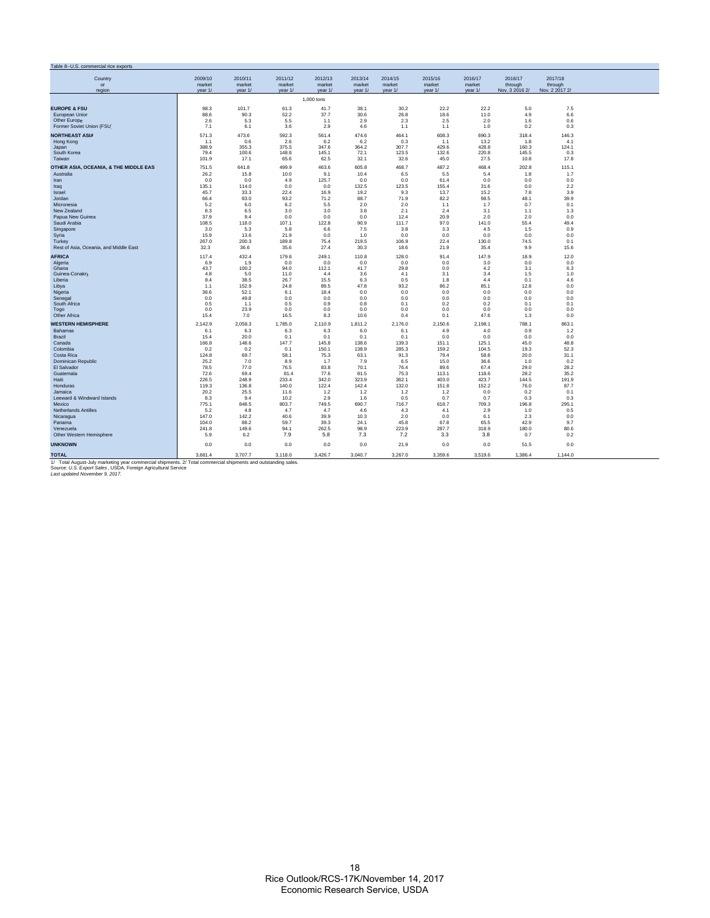| Table 8--U.S. commercial rice exports                                                                          |                   |                   |                   |                   |                   |                   |                   |                   |                    |                    |  |
|----------------------------------------------------------------------------------------------------------------|-------------------|-------------------|-------------------|-------------------|-------------------|-------------------|-------------------|-------------------|--------------------|--------------------|--|
|                                                                                                                |                   |                   |                   |                   |                   |                   |                   |                   |                    |                    |  |
| Country<br>or                                                                                                  | 2009/10<br>market | 2010/11<br>market | 2011/12<br>market | 2012/13<br>market | 2013/14<br>market | 2014/15<br>market | 2015/16<br>market | 2016/17<br>market | 2016/17<br>through | 2017/18<br>through |  |
| region                                                                                                         | vear 1/           | vear 1/           | vear 1/           | vear $1/$         | vear 1/           | vear 1/           | vear 1/           | vear 1/           | Nov. 3 2016 2/     | Nov. 2 2017 2/     |  |
|                                                                                                                |                   |                   |                   | 1,000 tons        |                   |                   |                   |                   |                    |                    |  |
|                                                                                                                |                   |                   |                   |                   |                   |                   |                   |                   |                    |                    |  |
| <b>EUROPE &amp; FSU</b>                                                                                        | 98.3              | 101.7             | 61.3              | 41.7              | 38.1              | 30.2              | 22.2              | 22.2              | 5.0                | 7.5                |  |
| European Unior<br>Other Europe                                                                                 | 88.6<br>2.6       | 90.3<br>5.3       | 52.2<br>5.5       | 37.7<br>1.1       | 30.6<br>2.9       | 26.8<br>2.3       | 18.6<br>2.5       | 11.0<br>2.0       | 4.9<br>1.6         | 6.6<br>0.6         |  |
| Former Soviet Union (FSU                                                                                       | 7.1               | 6.1               | 3.6               | 2.9               | 4.6               | 1.1               | 1.1               | 1.0               | 0.2                | 0.3                |  |
|                                                                                                                |                   |                   |                   |                   |                   |                   |                   |                   |                    |                    |  |
| <b>NORTHEAST ASIA</b><br>Hong Kong                                                                             | 571.3<br>1.1      | 473.6<br>0.6      | 592.3<br>2.6      | 561.4<br>6.2      | 474.6<br>6.2      | 464.1<br>0.3      | 608.3<br>1.1      | 690.3<br>13.2     | 318.4<br>1.8       | 146.3<br>4.1       |  |
| Japan                                                                                                          | 388.9             | 355.3             | 375.5             | 347.6             | 364.2             | 307.7             | 429.6             | 428.8             | 160.3              | 124.1              |  |
| South Korea                                                                                                    | 79.4              | 100.6             | 148.6             | 145.1             | 72.1              | 123.5             | 132.6             | 220.8             | 145.5              | 0.3                |  |
| Taiwan                                                                                                         | 101.9             | 17.1              | 65.6              | 62.5              | 32.1              | 32.6              | 45.0              | 27.5              | 10.8               | 17.8               |  |
| OTHER ASIA, OCEANIA, & THE MIDDLE EAS'                                                                         | 751.5             | 641.8             | 499.9             | 463.6             | 605.8             | 468.7             | 487.2             | 468.4             | 202.8              | 115.1              |  |
| Australia                                                                                                      | 26.2              | 15.8              | 10.0              | 9.1               | 10.4              | 6.5               | 5.5               | 5.4               | 1.8                | 1.7                |  |
| Iran                                                                                                           | 0.0               | 0.0               | 4.9               | 125.7             | 0.0               | 0.0               | 61.4              | 0.0               | 0.0                | 0.0                |  |
| Iraq                                                                                                           | 135.1             | 114.0             | 0.0               | 0.0               | 132.5             | 123.5             | 155.4             | 31.6              | 0.0                | 2.2                |  |
| Israel                                                                                                         | 45.7              | 33.3              | 22.4<br>93.2      | 16.9              | 19.2              | 9.3               | 13.7<br>82.2      | 15.2<br>98.5      | 7.8                | 3.9                |  |
| Jordan<br>Micronesia                                                                                           | 66.4<br>5.2       | 83.0<br>6.0       | 6.2               | 71.2<br>5.5       | 88.7<br>2.0       | 71.9<br>2.0       | 1.1               | 1.7               | 48.1<br>0.7        | 39.9<br>0.1        |  |
| New Zealand                                                                                                    | 8.3               | 6.5               | 3.0               | 3.0               | 3.8               | 2.1               | 2.4               | 3.1               | 1.1                | 1.3                |  |
| Papua New Guinea                                                                                               | 37.9              | 9.4               | 0.0               | 0.0               | 0.0               | 12.4              | 20.9              | 2.0               | 2.0                | 0.0                |  |
| Saudi Arabia                                                                                                   | 108.5             | 118.0             | 107.1             | 122.8             | 90.9              | 111.7             | 97.0              | 141.0             | 55.4               | 49.4               |  |
| Singapore                                                                                                      | 3.0               | 5.3               | 5.8               | 6.6               | 7.5               | 3.8               | 3.3               | 4.5               | 1.5                | 0.9                |  |
| Syria                                                                                                          | 15.9              | 13.6              | 21.9              | 0.0               | 1.0               | 0.0               | 0.0               | 0.0               | 0.0                | 0.0                |  |
| Turkey<br>Rest of Asia, Oceania, and Middle East                                                               | 267.0<br>32.3     | 200.3<br>36.6     | 189.8<br>35.6     | 75.4<br>27.4      | 219.5<br>30.3     | 106.9<br>18.6     | 22.4<br>21.9      | 130.0<br>35.4     | 74.5<br>9.9        | 0.1<br>15.6        |  |
|                                                                                                                |                   |                   |                   |                   |                   |                   |                   |                   |                    |                    |  |
| <b>AFRICA</b>                                                                                                  | 117.4             | 432.4             | 179.6             | 249.1             | 110.8             | 128.0             | 91.4              | 147.9             | 18.9               | 12.0               |  |
| Algeria<br>Ghana                                                                                               | 6.9<br>43.7       | 1.9<br>100.2      | 0.0<br>94.0       | 0.0<br>112.1      | 0.0<br>41.7       | 0.0<br>29.8       | 0.0<br>0.0        | 3.0<br>4.2        | 0.0<br>3.1         | 0.0<br>6.3         |  |
| Guinea-Conakry                                                                                                 | 4.8               | 5.0               | 11.0              | 4.4               | 3.6               | 4.1               | 3.1               | 3.4               | 1.5                | 1.0                |  |
| Liberia                                                                                                        | 8.4               | 38.5              | 26.7              | 15.5              | 6.3               | 0.5               | 1.8               | 4.4               | 0.1                | 4.6                |  |
| Libya                                                                                                          | 1.1               | 152.9             | 24.8              | 89.5              | 47.8              | 93.2              | 86.2              | 85.1              | 12.8               | 0.0                |  |
| Nigeria<br>Senegal                                                                                             | 36.6<br>0.0       | 52.1<br>49.8      | 6.1<br>0.0        | 18.4<br>0.0       | 0.0<br>0.0        | 0.0<br>0.0        | 0.0<br>0.0        | 0.0<br>0.0        | 0.0<br>0.0         | 0.0<br>0.0         |  |
| South Africa                                                                                                   | 0.5               | 1.1               | 0.5               | 0.9               | 0.8               | 0.1               | 0.2               | 0.2               | 0.1                | 0.1                |  |
| Togo                                                                                                           | 0.0               | 23.9              | 0.0               | 0.0               | 0.0               | 0.0               | 0.0               | 0.0               | 0.0                | 0.0                |  |
| Other Africa                                                                                                   | 15.4              | 7.0               | 16.5              | 8.3               | 10.6              | 0.4               | 0.1               | 47.6              | 1.3                | 0.0                |  |
| <b>WESTERN HEMISPHERE</b>                                                                                      | 2.142.9           | 2.058.3           | 1.785.0           | 2,110.9           | 1,811.2           | 2,176.0           | 2,150.6           | 2.198.1           | 788.1              | 863.1              |  |
| <b>Bahamas</b>                                                                                                 | 6.1               | 6.3               | 6.3               | 6.3               | 6.0               | 6.1               | 4.9               | 4.0               | 0.9                | 1.2                |  |
| <b>Brazil</b>                                                                                                  | 15.4              | 20.0              | 0.1               | 0.1               | 0.1               | 0.1               | 0.0               | 0.0               | 0.0                | 0.0                |  |
| Canada                                                                                                         | 166.8             | 148.6             | 147.7             | 145.8             | 138.6             | 139.3             | 151.1             | 125.1             | 45.0               | 48.8               |  |
| Colombia<br>Costa Rica                                                                                         | 0.2<br>124.8      | 0.2<br>69.7       | 0.1<br>58.1       | 150.1<br>75.3     | 138.9<br>63.1     | 285.3<br>91.3     | 159.2<br>79.4     | 104.5<br>58.8     | 19.3<br>20.0       | 52.3<br>31.1       |  |
| <b>Dominican Republic</b>                                                                                      | 25.2              | 7.0               | 8.9               | 1.7               | 7.9               | 6.5               | 15.0              | 36.6              | 1.0                | 0.2                |  |
| El Salvador                                                                                                    | 78.5              | 77.0              | 76.5              | 83.8              | 70.1              | 76.4              | 89.6              | 67.4              | 29.0               | 28.2               |  |
| Guatemala                                                                                                      | 72.6              | 69.4              | 81.4              | 77.6              | 81.5              | 75.3              | 113.1             | 118.6             | 28.2               | 35.2               |  |
| Haiti                                                                                                          | 226.5             | 248.9             | 233.4             | 342.0             | 323.9             | 362.1             | 403.0             | 423.7             | 144.5              | 191.9              |  |
| Honduras                                                                                                       | 119.3             | 136.8             | 140.0             | 122.4             | 142.4             | 132.0             | 151.8             | 152.2             | 76.0               | 87.7<br>0.1        |  |
| Jamaica<br>Leeward & Windward Islands                                                                          | 20.2<br>8.3       | 25.5<br>9.4       | 11.6<br>10.2      | 1.2<br>2.9        | 1.2<br>1.6        | 1.2<br>0.5        | 1.2<br>0.7        | 0.0<br>0.7        | 0.2<br>0.3         | 0.3                |  |
| Mexico                                                                                                         | 775.1             | 848.5             | 803.7             | 749.5             | 690.7             | 716.7             | 618.7             | 709.3             | 196.8              | 295.1              |  |
| <b>Netherlands Antilles</b>                                                                                    | 5.2               | 4.8               | 4.7               | 4.7               | 4.6               | 4.3               | 4.1               | 2.9               | 1.0                | 0.5                |  |
| Nicaragua                                                                                                      | 147.0             | 142.2             | 40.6              | 39.9              | 10.3              | 2.0               | 0.0               | 6.1               | 2.3                | 0.0                |  |
| Panama                                                                                                         | 104.0             | 88.2              | 59.7              | 39.3              | 24.1              | 45.8              | 67.8              | 65.5              | 42.9               | 9.7                |  |
| Venezuela                                                                                                      | 241.8             | 149.6             | 94.1              | 262.5             | 98.9              | 223.9             | 287.7             | 318.9             | 180.0              | 80.6               |  |
| Other Western Hemisphere                                                                                       | 5.9               | 6.2               | 7.9               | 5.8               | 7.3               | 7.2               | 3.3               | 3.8               | 0.7                | 0.2                |  |
| <b>UNKNOWN</b>                                                                                                 | 0.0               | 0.0               | 0.0               | 0.0               | 0.0               | 21.9              | 0.0               | 0.0               | 51.5               | 0.0                |  |
| TOTAL                                                                                                          | 3,681.4           | 3,707.7           | 3,118.0           | 3,426.7           | 3,040.7           | 3,267.0           | 3,359.6           | 3,519.6           | 1,386.4            | 1,144.0            |  |
| 1/ Total August-July marketing year commercial shipments. 2/ Total commercial shipments and outstanding sales. |                   |                   |                   |                   |                   |                   |                   |                   |                    |                    |  |
| Source: U.S. Export Sales, USDA, Foreign Agricultural Service<br>Last updated November 9, 2017.                |                   |                   |                   |                   |                   |                   |                   |                   |                    |                    |  |
|                                                                                                                |                   |                   |                   |                   |                   |                   |                   |                   |                    |                    |  |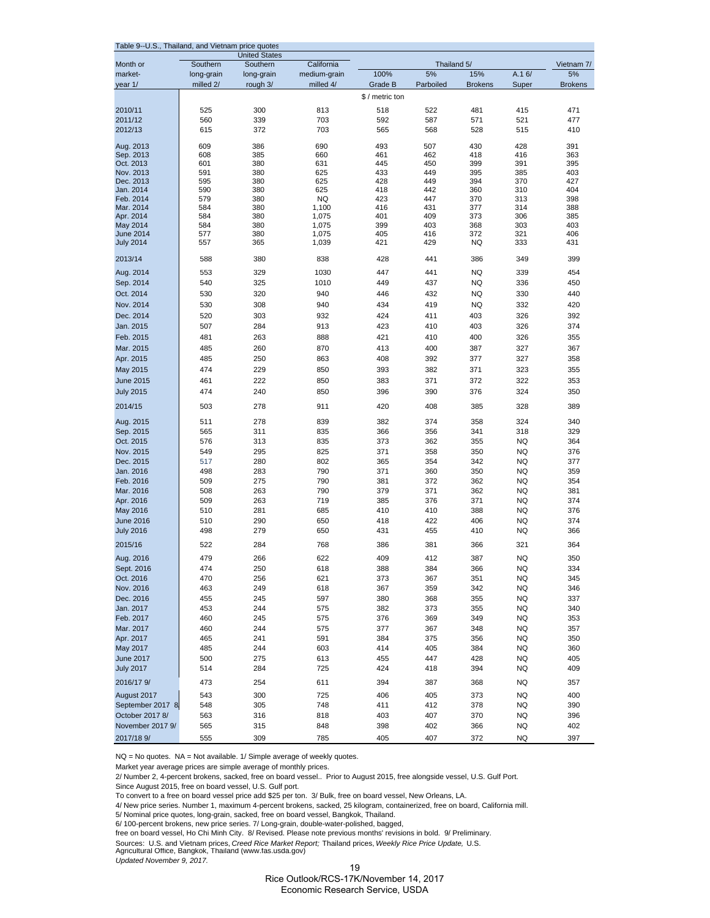| Table 9--U.S., Thailand, and Vietnam price quotes                                             |                |            |                |
|-----------------------------------------------------------------------------------------------|----------------|------------|----------------|
| <b>United States</b><br>California<br>Month or<br>Southern<br>Southern                        | Thailand 5/    |            | Vietnam 7/     |
| 100%<br>5%<br>market-<br>medium-grain<br>long-grain<br>long-grain                             | 15%            | A.16/      | 5%             |
| Parboiled<br>year 1/<br>milled 2/<br>rough 3/<br>milled 4/<br>Grade B                         | <b>Brokens</b> | Super      | <b>Brokens</b> |
| \$ / metric ton                                                                               |                |            |                |
| 2010/11<br>525<br>300<br>813<br>518<br>522                                                    | 481            | 415        | 471            |
| 592<br>2011/12<br>560<br>339<br>703<br>587                                                    | 571            | 521        | 477            |
| 2012/13<br>615<br>372<br>703<br>565<br>568                                                    | 528            | 515        | 410            |
|                                                                                               |                |            |                |
| 386<br>493<br>507<br>609<br>690<br>Aug. 2013<br>Sep. 2013<br>608<br>385<br>660<br>461<br>462  | 430<br>418     | 428<br>416 | 391<br>363     |
| Oct. 2013<br>601<br>380<br>631<br>445<br>450                                                  | 399            | 391        | 395            |
| Nov. 2013<br>591<br>380<br>625<br>433<br>449                                                  | 395            | 385        | 403            |
| Dec. 2013<br>595<br>380<br>625<br>428<br>449                                                  | 394            | 370        | 427            |
| Jan. 2014<br>590<br>380<br>625<br>418<br>442                                                  | 360            | 310        | 404            |
| Feb. 2014<br>579<br>380<br>NQ<br>423<br>447<br>Mar. 2014<br>584<br>380<br>1,100<br>416<br>431 | 370<br>377     | 313<br>314 | 398<br>388     |
| Apr. 2014<br>584<br>380<br>1,075<br>401<br>409                                                | 373            | 306        | 385            |
| 584<br>380<br>1,075<br>399<br>403<br>May 2014                                                 | 368            | 303        | 403            |
| 380<br>1,075<br>405<br>416<br><b>June 2014</b><br>577                                         | 372            | 321        | 406            |
| <b>July 2014</b><br>557<br>365<br>1,039<br>421<br>429                                         | NQ             | 333        | 431            |
| 380<br>2013/14<br>588<br>838<br>428<br>441                                                    | 386            | 349        | 399            |
| 329<br>1030<br>447<br>441<br>Aug. 2014<br>553                                                 | NQ             | 339        | 454            |
| 449<br>437<br>Sep. 2014<br>540<br>325<br>1010                                                 | <b>NQ</b>      | 336        | 450            |
| Oct. 2014<br>530<br>320<br>940<br>446<br>432                                                  | <b>NQ</b>      | 330        | 440            |
| 308<br>Nov. 2014<br>530<br>940<br>434<br>419                                                  | NQ             | 332        | 420            |
| Dec. 2014<br>520<br>303<br>932<br>424<br>411                                                  | 403            | 326        | 392            |
| 423<br>Jan. 2015<br>507<br>284<br>913<br>410                                                  | 403            | 326        | 374            |
| Feb. 2015<br>421<br>481<br>263<br>888<br>410                                                  | 400            | 326        | 355            |
| Mar. 2015<br>485<br>260<br>870<br>413<br>400                                                  | 387            | 327        | 367            |
| 250<br>408<br>Apr. 2015<br>485<br>863<br>392                                                  | 377            | 327        | 358            |
| 229<br>393<br>May 2015<br>474<br>850<br>382                                                   | 371            | 323        | 355            |
| 222<br>383<br><b>June 2015</b><br>461<br>850<br>371                                           | 372            | 322        | 353            |
| <b>July 2015</b><br>474<br>240<br>850<br>396<br>390                                           | 376            | 324        | 350            |
| 420<br>408<br>2014/15<br>503<br>278<br>911                                                    | 385            | 328        | 389            |
| 278<br>839<br>511<br>382<br>374<br>Aug. 2015                                                  | 358            | 324        | 340            |
| 366<br>Sep. 2015<br>565<br>311<br>835<br>356                                                  | 341            | 318        | 329            |
| Oct. 2015<br>373<br>313<br>835<br>362<br>576                                                  | 355            | NQ         | 364            |
| 295<br>825<br>371<br>Nov. 2015<br>549<br>358                                                  | 350            | NQ         | 376            |
| Dec. 2015<br>517<br>280<br>802<br>365<br>354                                                  | 342            | NQ         | 377            |
| Jan. 2016<br>283<br>790<br>371<br>360<br>498<br>Feb. 2016<br>509<br>275<br>790<br>381<br>372  | 350<br>362     | NQ<br>NQ   | 359<br>354     |
| 263<br>Mar. 2016<br>508<br>790<br>379<br>371                                                  | 362            | NQ         | 381            |
| Apr. 2016<br>509<br>263<br>719<br>385<br>376                                                  | 371            | NQ         | 374            |
| 281<br>685<br>410<br>410<br>May 2016<br>510                                                   | 388            | NQ         | 376            |
| <b>June 2016</b><br>510<br>290<br>650<br>418<br>422                                           | 406            | NQ         | 374            |
| 498<br>279<br>650<br>431<br>455<br><b>July 2016</b>                                           | 410            | NQ         | 366            |
| 2015/16<br>284<br>522<br>768<br>386<br>381                                                    | 366            | 321        | 364            |
| 479<br>622<br>409<br>Aug. 2016<br>266<br>412                                                  | 387            | <b>NQ</b>  | 350            |
| 384<br>Sept. 2016<br>474<br>250<br>618<br>388                                                 | 366            | <b>NQ</b>  | 334            |
| Oct. 2016<br>470<br>256<br>373<br>367<br>621                                                  | 351            | NQ         | 345            |
| Nov. 2016<br>249<br>463<br>618<br>367<br>359                                                  | 342            | NQ         | 346            |
| Dec. 2016<br>380<br>455<br>245<br>597<br>368                                                  | 355            | NQ         | 337            |
| Jan. 2017<br>382<br>453<br>244<br>575<br>373                                                  | 355            | NQ         | 340            |
| 376<br>Feb. 2017<br>460<br>245<br>575<br>369                                                  | 349            | NQ         | 353            |
| Mar. 2017<br>460<br>244<br>575<br>377<br>367                                                  | 348            | NQ         | 357            |
| Apr. 2017<br>465<br>241<br>591<br>384<br>375<br>May 2017<br>485<br>244<br>603<br>414<br>405   | 356<br>384     | NQ<br>NQ   | 350<br>360     |
| 275<br><b>June 2017</b><br>500<br>613<br>455<br>447                                           | 428            | NQ         | 405            |
| <b>July 2017</b><br>514<br>284<br>725<br>424<br>418                                           | 394            | NQ         | 409            |
| 2016/17 9/<br>254<br>611<br>394<br>473<br>387                                                 | 368            | NQ         | 357            |
| 300<br>725<br>406<br>405<br>August 2017<br>543                                                | 373            | NQ         | 400            |
| 411<br>September 2017 8<br>548<br>305<br>748<br>412                                           | 378            | NQ         | 390            |
| October 2017 8/<br>563<br>316<br>818<br>403<br>407                                            | 370            | NQ         | 396            |
| November 2017 9/<br>565<br>315<br>848<br>398<br>402                                           | 366            | NQ         | 402            |
| 2017/18 9/<br>309<br>405<br>555<br>785<br>407                                                 | 372            | NQ         | 397            |

NQ = No quotes. NA = Not available. 1/ Simple average of weekly quotes.

Market year average prices are simple average of monthly prices.

2/ Number 2, 4-percent brokens, sacked, free on board vessel.. Prior to August 2015, free alongside vessel, U.S. Gulf Port.

Since August 2015, free on board vessel, U.S. Gulf port.

To convert to a free on board vessel price add \$25 per ton. 3/ Bulk, free on board vessel, New Orleans, LA.

4/ New price series. Number 1, maximum 4-percent brokens, sacked, 25 kilogram, containerized, free on board, California mill.

5/ Nominal price quotes, long-grain, sacked, free on board vessel, Bangkok, Thailand.

6/ 100-percent brokens, new price series. 7/ Long-grain, double-water-polished, bagged,

free on board vessel, Ho Chi Minh City. 8/ Revised. Please note previous months' revisions in bold. 9/ Preliminary.

Sources: U.S. and Vietnam prices, *Creed Rice Market Report;* Thailand prices, *Weekly Rice Price Update,* U.S. Agricultural Office, Bangkok, Thailand (www.fas.usda.gov)

*Updated November 9, 2017.*

19

Rice Outlook/RCS-17K/November 14, 2017 Economic Research Service, USDA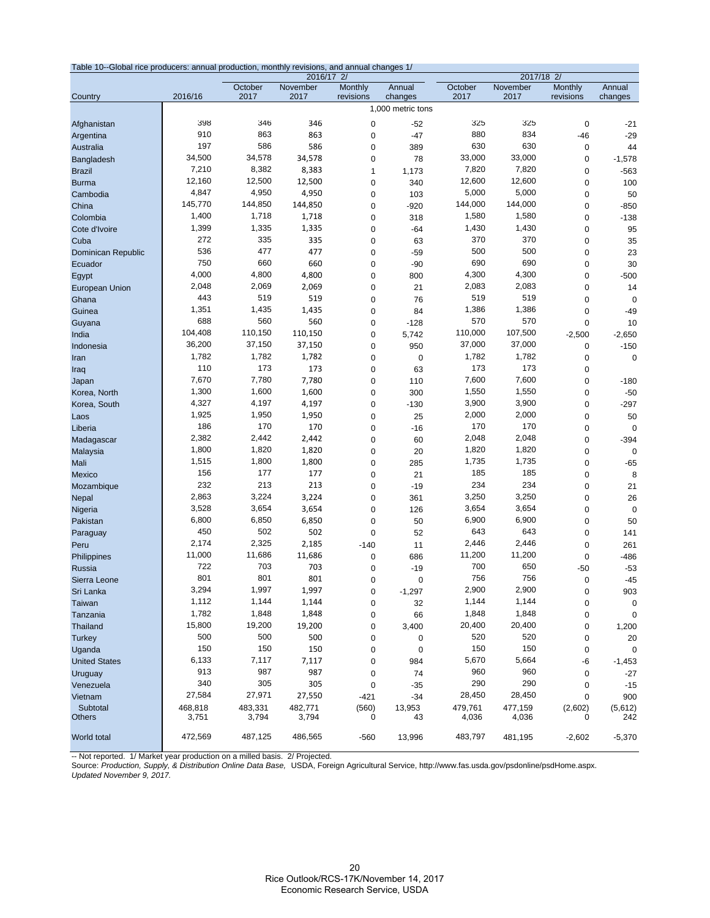| Table 10--Global rice producers: annual production, monthly revisions, and annual changes 1/ |         |         |                        |           |                   |         |          |                              |             |  |
|----------------------------------------------------------------------------------------------|---------|---------|------------------------|-----------|-------------------|---------|----------|------------------------------|-------------|--|
|                                                                                              |         | October | 2016/17 2/<br>November | Monthly   | Annual            | October | November | 2017/18 2/<br><b>Monthly</b> | Annual      |  |
| Country                                                                                      | 2016/16 | 2017    | 2017                   | revisions | changes           | 2017    | 2017     | revisions                    | changes     |  |
|                                                                                              |         |         |                        |           | 1,000 metric tons |         |          |                              |             |  |
| Afghanistan                                                                                  | 398     | 346     | 346                    | 0         | $-52$             | 325     | 325      | $\pmb{0}$                    | $-21$       |  |
| Argentina                                                                                    | 910     | 863     | 863                    | 0         | $-47$             | 880     | 834      | $-46$                        | $-29$       |  |
| Australia                                                                                    | 197     | 586     | 586                    | 0         | 389               | 630     | 630      | 0                            | 44          |  |
| Bangladesh                                                                                   | 34,500  | 34,578  | 34,578                 | 0         | 78                | 33,000  | 33,000   | 0                            | $-1,578$    |  |
| <b>Brazil</b>                                                                                | 7,210   | 8,382   | 8,383                  | 1         | 1,173             | 7,820   | 7,820    | 0                            | $-563$      |  |
| <b>Burma</b>                                                                                 | 12,160  | 12,500  | 12,500                 | $\pmb{0}$ | 340               | 12,600  | 12,600   | 0                            | 100         |  |
| Cambodia                                                                                     | 4,847   | 4,950   | 4,950                  | 0         | 103               | 5,000   | 5,000    | $\pmb{0}$                    | 50          |  |
| China                                                                                        | 145.770 | 144,850 | 144,850                | 0         | $-920$            | 144,000 | 144,000  | 0                            | $-850$      |  |
| Colombia                                                                                     | 1,400   | 1,718   | 1,718                  | 0         | 318               | 1,580   | 1,580    | 0                            | $-138$      |  |
| Cote d'Ivoire                                                                                | 1,399   | 1,335   | 1,335                  | 0         | $-64$             | 1,430   | 1,430    | $\pmb{0}$                    | 95          |  |
| Cuba                                                                                         | 272     | 335     | 335                    | 0         | 63                | 370     | 370      | 0                            | 35          |  |
| Dominican Republic                                                                           | 536     | 477     | 477                    | 0         | $-59$             | 500     | 500      | 0                            | 23          |  |
| Ecuador                                                                                      | 750     | 660     | 660                    | $\pmb{0}$ | $-90$             | 690     | 690      | $\pmb{0}$                    | 30          |  |
| Egypt                                                                                        | 4,000   | 4,800   | 4,800                  | 0         | 800               | 4,300   | 4,300    | $\pmb{0}$                    | $-500$      |  |
| <b>European Union</b>                                                                        | 2,048   | 2,069   | 2,069                  | 0         | 21                | 2,083   | 2,083    | 0                            | 14          |  |
| Ghana                                                                                        | 443     | 519     | 519                    | 0         | 76                | 519     | 519      | $\pmb{0}$                    | $\mathbf 0$ |  |
| Guinea                                                                                       | 1,351   | 1,435   | 1,435                  | 0         | 84                | 1,386   | 1,386    | $\pmb{0}$                    | $-49$       |  |
| Guyana                                                                                       | 688     | 560     | 560                    | 0         | $-128$            | 570     | 570      | 0                            | 10          |  |
| India                                                                                        | 104,408 | 110,150 | 110,150                | 0         | 5,742             | 110,000 | 107,500  | $-2,500$                     | $-2,650$    |  |
| Indonesia                                                                                    | 36,200  | 37,150  | 37,150                 | $\pmb{0}$ | 950               | 37,000  | 37,000   | $\pmb{0}$                    | $-150$      |  |
| Iran                                                                                         | 1,782   | 1,782   | 1,782                  | 0         | 0                 | 1,782   | 1,782    | 0                            | $\mathbf 0$ |  |
| Iraq                                                                                         | 110     | 173     | 173                    | 0         | 63                | 173     | 173      | 0                            |             |  |
| Japan                                                                                        | 7,670   | 7,780   | 7,780                  | 0         | 110               | 7,600   | 7,600    | 0                            | $-180$      |  |
| Korea, North                                                                                 | 1,300   | 1,600   | 1,600                  | 0         | 300               | 1,550   | 1,550    | $\pmb{0}$                    | $-50$       |  |
| Korea, South                                                                                 | 4,327   | 4,197   | 4,197                  | 0         | $-130$            | 3,900   | 3,900    | $\pmb{0}$                    | $-297$      |  |
| Laos                                                                                         | 1,925   | 1,950   | 1,950                  | 0         | 25                | 2,000   | 2,000    | 0                            | 50          |  |
| Liberia                                                                                      | 186     | 170     | 170                    | 0         | $-16$             | 170     | 170      | $\pmb{0}$                    | $\pmb{0}$   |  |
| Madagascar                                                                                   | 2,382   | 2,442   | 2,442                  | 0         | 60                | 2,048   | 2,048    | $\pmb{0}$                    | $-394$      |  |
| Malaysia                                                                                     | 1,800   | 1,820   | 1,820                  | 0         | 20                | 1,820   | 1,820    | 0                            | $\mathbf 0$ |  |
| Mali                                                                                         | 1,515   | 1,800   | 1,800                  | 0         | 285               | 1,735   | 1,735    | 0                            | $-65$       |  |
| Mexico                                                                                       | 156     | 177     | 177                    | $\pmb{0}$ | 21                | 185     | 185      | 0                            | 8           |  |
| Mozambique                                                                                   | 232     | 213     | 213                    | 0         | $-19$             | 234     | 234      | $\pmb{0}$                    | 21          |  |
| <b>Nepal</b>                                                                                 | 2,863   | 3,224   | 3,224                  | 0         | 361               | 3,250   | 3,250    | 0                            | 26          |  |
| Nigeria                                                                                      | 3,528   | 3,654   | 3,654                  | 0         | 126               | 3,654   | 3,654    | 0                            | $\mathbf 0$ |  |
| Pakistan                                                                                     | 6,800   | 6,850   | 6,850                  | 0         | 50                | 6,900   | 6,900    | $\pmb{0}$                    | 50          |  |
| Paraguay                                                                                     | 450     | 502     | 502                    | 0         | 52                | 643     | 643      | 0                            | 141         |  |
| Peru                                                                                         | 2,174   | 2,325   | 2,185                  | $-140$    | 11                | 2,446   | 2,446    | 0                            | 261         |  |
| Philippines                                                                                  | 11,000  | 11,686  | 11,686                 | 0         | 686               | 11,200  | 11,200   | 0                            | $-486$      |  |
| <b>Russia</b>                                                                                | 722     | 703     | 703                    | 0         | $-19$             | 700     | 650      | $-50$                        | $-53$       |  |
| Sierra Leone                                                                                 | 801     | 801     | 801                    | $\Omega$  | $\Omega$          | 756     | 756      | $\Omega$                     | $-45$       |  |
| Sri Lanka                                                                                    | 3,294   | 1,997   | 1,997                  | $\pmb{0}$ | $-1,297$          | 2,900   | 2,900    | $\pmb{0}$                    | 903         |  |
| Taiwan                                                                                       | 1,112   | 1,144   | 1,144                  | 0         | 32                | 1,144   | 1,144    | 0                            | $\pmb{0}$   |  |
| Tanzania                                                                                     | 1,782   | 1,848   | 1,848                  | 0         | 66                | 1,848   | 1,848    | 0                            | $\pmb{0}$   |  |
| Thailand                                                                                     | 15,800  | 19,200  | 19,200                 | 0         | 3,400             | 20,400  | 20,400   | 0                            | 1,200       |  |
| <b>Turkey</b>                                                                                | 500     | 500     | 500                    | 0         | 0                 | 520     | 520      | 0                            | 20          |  |
| Uganda                                                                                       | 150     | 150     | 150                    | 0         | 0                 | 150     | 150      | 0                            | $\pmb{0}$   |  |
| <b>United States</b>                                                                         | 6,133   | 7,117   | 7,117                  | 0         | 984               | 5,670   | 5,664    | -6                           | $-1,453$    |  |
| Uruguay                                                                                      | 913     | 987     | 987                    | 0         | 74                | 960     | 960      | 0                            | $-27$       |  |
| Venezuela                                                                                    | 340     | 305     | 305                    | 0         | $-35$             | 290     | 290      | 0                            | $-15$       |  |
| Vietnam                                                                                      | 27,584  | 27,971  | 27,550                 | $-421$    | $-34$             | 28,450  | 28,450   | 0                            | 900         |  |
| Subtotal<br><b>Others</b>                                                                    | 468,818 | 483,331 | 482,771                | (560)     | 13,953            | 479,761 | 477,159  | (2,602)                      | (5,612)     |  |
|                                                                                              | 3,751   | 3,794   | 3,794                  | 0         | 43                | 4,036   | 4,036    | 0                            | 242         |  |
| World total                                                                                  | 472,569 | 487,125 | 486,565                | -560      | 13,996            | 483,797 | 481,195  | $-2,602$                     | $-5,370$    |  |
|                                                                                              |         |         |                        |           |                   |         |          |                              |             |  |

-- Not reported. 1/ Market year production on a milled basis. 2/ Projected.<br>Source: *Production, Supply, & Distribution Online Data Base,* USDA, Foreign Agricultural Service, http://www.fas.usda.gov/psdonline/psdHome.aspx. *Updated November 9, 2017.*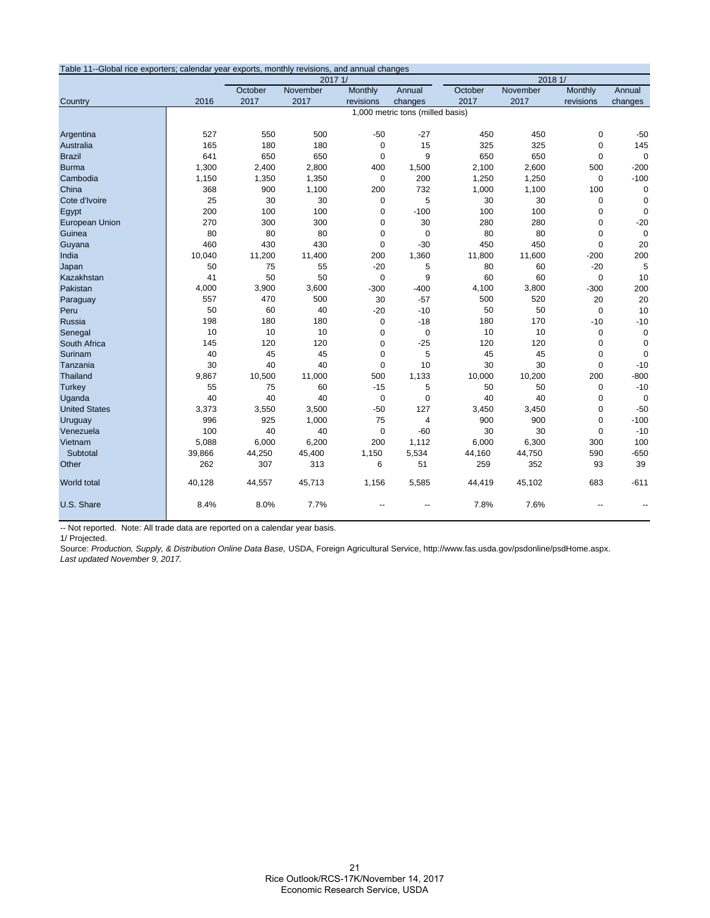| Table 11--Global rice exporters; calendar year exports, monthly revisions, and annual changes |                                  |         |          |             |                |         |          |             |             |  |  |
|-----------------------------------------------------------------------------------------------|----------------------------------|---------|----------|-------------|----------------|---------|----------|-------------|-------------|--|--|
|                                                                                               |                                  | 2017 1/ |          |             |                | 2018 1/ |          |             |             |  |  |
|                                                                                               |                                  | October | November | Monthly     | Annual         | October | November | Monthly     | Annual      |  |  |
| Country                                                                                       | 2016                             | 2017    | 2017     | revisions   | changes        | 2017    | 2017     | revisions   | changes     |  |  |
|                                                                                               | 1,000 metric tons (milled basis) |         |          |             |                |         |          |             |             |  |  |
|                                                                                               |                                  |         |          |             |                |         |          |             |             |  |  |
| Argentina                                                                                     | 527                              | 550     | 500      | $-50$       | $-27$          | 450     | 450      | 0           | $-50$       |  |  |
| Australia                                                                                     | 165                              | 180     | 180      | $\mathbf 0$ | 15             | 325     | 325      | $\mathbf 0$ | 145         |  |  |
| <b>Brazil</b>                                                                                 | 641                              | 650     | 650      | $\Omega$    | 9              | 650     | 650      | 0           | $\Omega$    |  |  |
| <b>Burma</b>                                                                                  | 1,300                            | 2,400   | 2,800    | 400         | 1,500          | 2,100   | 2,600    | 500         | $-200$      |  |  |
| Cambodia                                                                                      | 1,150                            | 1,350   | 1,350    | $\mathbf 0$ | 200            | 1,250   | 1,250    | 0           | $-100$      |  |  |
| China                                                                                         | 368                              | 900     | 1,100    | 200         | 732            | 1,000   | 1,100    | 100         | 0           |  |  |
| Cote d'Ivoire                                                                                 | 25                               | 30      | 30       | $\mathbf 0$ | 5              | 30      | 30       | $\mathbf 0$ | $\mathbf 0$ |  |  |
| Egypt                                                                                         | 200                              | 100     | 100      | $\mathbf 0$ | $-100$         | 100     | 100      | 0           | $\mathbf 0$ |  |  |
| <b>European Union</b>                                                                         | 270                              | 300     | 300      | $\mathbf 0$ | 30             | 280     | 280      | 0           | $-20$       |  |  |
| Guinea                                                                                        | 80                               | 80      | 80       | $\mathbf 0$ | $\mathbf 0$    | 80      | 80       | 0           | $\mathbf 0$ |  |  |
| Guyana                                                                                        | 460                              | 430     | 430      | $\Omega$    | $-30$          | 450     | 450      | 0           | 20          |  |  |
| India                                                                                         | 10,040                           | 11,200  | 11,400   | 200         | 1,360          | 11,800  | 11,600   | $-200$      | 200         |  |  |
| Japan                                                                                         | 50                               | 75      | 55       | $-20$       | 5              | 80      | 60       | $-20$       | 5           |  |  |
| Kazakhstan                                                                                    | 41                               | 50      | 50       | $\mathbf 0$ | 9              | 60      | 60       | $\mathbf 0$ | 10          |  |  |
| Pakistan                                                                                      | 4,000                            | 3,900   | 3,600    | $-300$      | $-400$         | 4,100   | 3,800    | $-300$      | 200         |  |  |
| Paraguay                                                                                      | 557                              | 470     | 500      | 30          | $-57$          | 500     | 520      | 20          | 20          |  |  |
| Peru                                                                                          | 50                               | 60      | 40       | $-20$       | $-10$          | 50      | 50       | 0           | 10          |  |  |
| Russia                                                                                        | 198                              | 180     | 180      | $\mathbf 0$ | $-18$          | 180     | 170      | $-10$       | $-10$       |  |  |
| Senegal                                                                                       | 10                               | 10      | 10       | $\mathbf 0$ | $\mathbf 0$    | 10      | 10       | 0           | $\mathbf 0$ |  |  |
| South Africa                                                                                  | 145                              | 120     | 120      | $\mathbf 0$ | $-25$          | 120     | 120      | 0           | $\mathbf 0$ |  |  |
| Surinam                                                                                       | 40                               | 45      | 45       | $\mathbf 0$ | 5              | 45      | 45       | 0           | $\mathbf 0$ |  |  |
| Tanzania                                                                                      | 30                               | 40      | 40       | $\mathbf 0$ | 10             | 30      | 30       | $\mathbf 0$ | $-10$       |  |  |
| Thailand                                                                                      | 9,867                            | 10,500  | 11,000   | 500         | 1,133          | 10,000  | 10,200   | 200         | $-800$      |  |  |
| <b>Turkey</b>                                                                                 | 55                               | 75      | 60       | $-15$       | 5              | 50      | 50       | 0           | $-10$       |  |  |
| Uganda                                                                                        | 40                               | 40      | 40       | $\mathbf 0$ | 0              | 40      | 40       | 0           | $\Omega$    |  |  |
| <b>United States</b>                                                                          | 3,373                            | 3,550   | 3,500    | $-50$       | 127            | 3,450   | 3,450    | 0           | $-50$       |  |  |
| Uruguay                                                                                       | 996                              | 925     | 1,000    | 75          | $\overline{4}$ | 900     | 900      | $\Omega$    | $-100$      |  |  |
| Venezuela                                                                                     | 100                              | 40      | 40       | $\mathbf 0$ | $-60$          | 30      | 30       | 0           | $-10$       |  |  |
| Vietnam                                                                                       | 5,088                            | 6,000   | 6,200    | 200         | 1,112          | 6,000   | 6,300    | 300         | 100         |  |  |
| Subtotal                                                                                      | 39,866                           | 44,250  | 45,400   | 1,150       | 5,534          | 44,160  | 44,750   | 590         | $-650$      |  |  |
| Other                                                                                         | 262                              | 307     | 313      | 6           | 51             | 259     | 352      | 93          | 39          |  |  |
|                                                                                               |                                  |         |          |             |                |         |          |             |             |  |  |
| World total                                                                                   | 40,128                           | 44,557  | 45,713   | 1,156       | 5,585          | 44,419  | 45,102   | 683         | $-611$      |  |  |
| U.S. Share                                                                                    | 8.4%                             | 8.0%    | 7.7%     |             |                | 7.8%    | 7.6%     |             |             |  |  |

-- Not reported. Note: All trade data are reported on a calendar year basis.

1/ Projected.

Source: *Production, Supply, & Distribution Online Data Base,* USDA, Foreign Agricultural Service, http://www.fas.usda.gov/psdonline/psdHome.aspx. *Last updated November 9, 2017.*